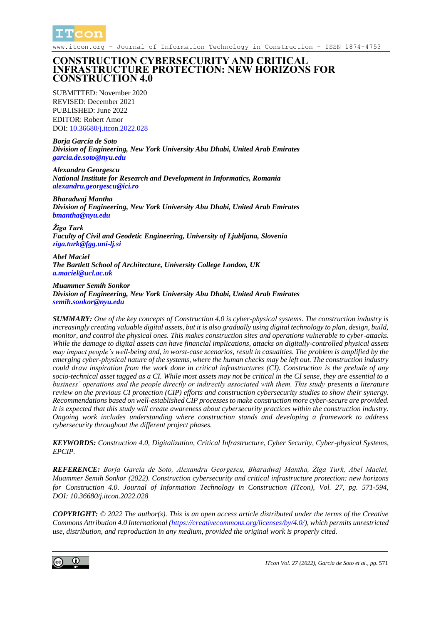

www.itcon.org - Journal of Information Technology in Construction - ISSN 1874-4753

### **CONSTRUCTION CYBERSECURITY AND CRITICAL INFRASTRUCTURE PROTECTION: NEW HORIZONS FOR CONSTRUCTION 4.0**

SUBMITTED: November 2020 REVISED: December 2021 PUBLISHED: June 2022 EDITOR: Robert Amor DOI: 10.36680/*i.itcon.2022.028* 

*Borja García de Soto Division of Engineering, New York University Abu Dhabi, United Arab Emirates [garcia.de.soto@nyu.edu](mailto:garcia.de.soto@nyu.edu)*

*Alexandru Georgescu National Institute for Research and Development in Informatics, Romania [alexandru.georgescu@ici.ro](mailto:alexandru.georgescu@ici.ro)*

*Bharadwaj Mantha Division of Engineering, New York University Abu Dhabi, United Arab Emirates [bmantha@nyu.edu](mailto:bmantha@nyu.edu)*

*Žiga Turk Faculty of Civil and Geodetic Engineering, University of Ljubljana, Slovenia [ziga.turk@fgg.uni-lj.si](mailto:ziga.turk@fgg.uni-lj.si)*

*Abel Maciel The Bartlett School of Architecture, University College London, UK [a.maciel@ucl.ac.uk](mailto:a.maciel@ucl.ac.uk)*

*Muammer Semih Sonkor Division of Engineering, New York University Abu Dhabi, United Arab Emirates [semih.sonkor@nyu.edu](mailto:semih.sonkor@nyu.edu)*

*SUMMARY: One of the key concepts of Construction 4.0 is cyber-physical systems. The construction industry is increasingly creating valuable digital assets, but it is also gradually using digital technology to plan, design, build, monitor, and control the physical ones. This makes construction sites and operations vulnerable to cyber-attacks. While the damage to digital assets can have financial implications, attacks on digitally-controlled physical assets may impact people's well-being and, in worst-case scenarios, result in casualties. The problem is amplified by the emerging cyber-physical nature of the systems, where the human checks may be left out. The construction industry could draw inspiration from the work done in critical infrastructures (CI). Construction is the prelude of any socio-technical asset tagged as a CI. While most assets may not be critical in the CI sense, they are essential to a business' operations and the people directly or indirectly associated with them. This study presents a literature review on the previous CI protection (CIP) efforts and construction cybersecurity studies to show their synergy. Recommendations based on well-established CIP processes to make construction more cyber-secure are provided. It is expected that this study will create awareness about cybersecurity practices within the construction industry. Ongoing work includes understanding where construction stands and developing a framework to address cybersecurity throughout the different project phases.*

*KEYWORDS: Construction 4.0, Digitalization, Critical Infrastructure, Cyber Security, Cyber-physical Systems, EPCIP.*

*REFERENCE: Borja García de Soto, Alexandru Georgescu, Bharadwaj Mantha, Žiga Turk, Abel Maciel, Muammer Semih Sonkor (2022). Construction cybersecurity and critical infrastructure protection: new horizons for Construction 4.0. Journal of Information Technology in Construction (ITcon), Vol. 27, pg. 571-594, DOI: 10.36680/j.itcon.2022.028*

*COPYRIGHT: © 2022 The author(s). This is an open access article distributed under the terms of the Creative Commons Attribution 4.0 International [\(https://creativecommons.org/licenses/by/4.0/\)](https://creativecommons.org/licenses/by/4.0/), which permits unrestricted use, distribution, and reproduction in any medium, provided the original work is properly cited.*

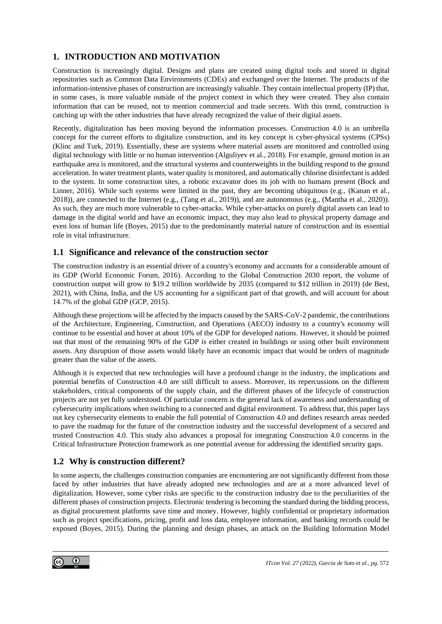# **1. INTRODUCTION AND MOTIVATION**

Construction is increasingly digital. Designs and plans are created using digital tools and stored in digital repositories such as Common Data Environments (CDEs) and exchanged over the Internet. The products of the information-intensive phases of construction are increasingly valuable. They contain intellectual property (IP) that, in some cases, is more valuable outside of the project context in which they were created. They also contain information that can be reused, not to mention commercial and trade secrets. With this trend, construction is catching up with the other industries that have already recognized the value of their digital assets.

Recently, digitalization has been moving beyond the information processes. Construction 4.0 is an umbrella concept for the current efforts to digitalize construction, and its key concept is cyber-physical systems (CPSs) (Klinc and Turk, 2019). Essentially, these are systems where material assets are monitored and controlled using digital technology with little or no human intervention (Alguliyev et al., 2018). For example, ground motion in an earthquake area is monitored, and the structural systems and counterweights in the building respond to the ground acceleration. In water treatment plants, water quality is monitored, and automatically chlorine disinfectant is added to the system. In some construction sites, a robotic excavator does its job with no humans present (Bock and Linner, 2016). While such systems were limited in the past, they are becoming ubiquitous (e.g., (Kanan et al., 2018)), are connected to the Internet (e.g., (Tang et al., 2019)), and are autonomous (e.g., (Mantha et al., 2020)). As such, they are much more vulnerable to cyber-attacks. While cyber-attacks on purely digital assets can lead to damage in the digital world and have an economic impact, they may also lead to physical property damage and even loss of human life (Boyes, 2015) due to the predominantly material nature of construction and its essential role in vital infrastructure.

### **1.1 Significance and relevance of the construction sector**

The construction industry is an essential driver of a country's economy and accounts for a considerable amount of its GDP (World Economic Forum, 2016). According to the Global Construction 2030 report, the volume of construction output will grow to \$19.2 trillion worldwide by 2035 (compared to \$12 trillion in 2019) (de Best, 2021), with China, India, and the US accounting for a significant part of that growth, and will account for about 14.7% of the global GDP (GCP, 2015).

Although these projections will be affected by the impacts caused by the SARS-CoV-2 pandemic, the contributions of the Architecture, Engineering, Construction, and Operations (AECO) industry to a country's economy will continue to be essential and hover at about 10% of the GDP for developed nations. However, it should be pointed out that most of the remaining 90% of the GDP is either created in buildings or using other built environment assets. Any disruption of those assets would likely have an economic impact that would be orders of magnitude greater than the value of the assets.

Although it is expected that new technologies will have a profound change in the industry, the implications and potential benefits of Construction 4.0 are still difficult to assess. Moreover, its repercussions on the different stakeholders, critical components of the supply chain, and the different phases of the lifecycle of construction projects are not yet fully understood. Of particular concern is the general lack of awareness and understanding of cybersecurity implications when switching to a connected and digital environment. To address that, this paper lays out key cybersecurity elements to enable the full potential of Construction 4.0 and defines research areas needed to pave the roadmap for the future of the construction industry and the successful development of a secured and trusted Construction 4.0. This study also advances a proposal for integrating Construction 4.0 concerns in the Critical Infrastructure Protection framework as one potential avenue for addressing the identified security gaps.

## **1.2 Why is construction different?**

In some aspects, the challenges construction companies are encountering are not significantly different from those faced by other industries that have already adopted new technologies and are at a more advanced level of digitalization. However, some cyber risks are specific to the construction industry due to the peculiarities of the different phases of construction projects. Electronic tendering is becoming the standard during the bidding process, as digital procurement platforms save time and money. However, highly confidential or proprietary information such as project specifications, pricing, profit and loss data, employee information, and banking records could be exposed (Boyes, 2015). During the planning and design phases, an attack on the Building Information Model

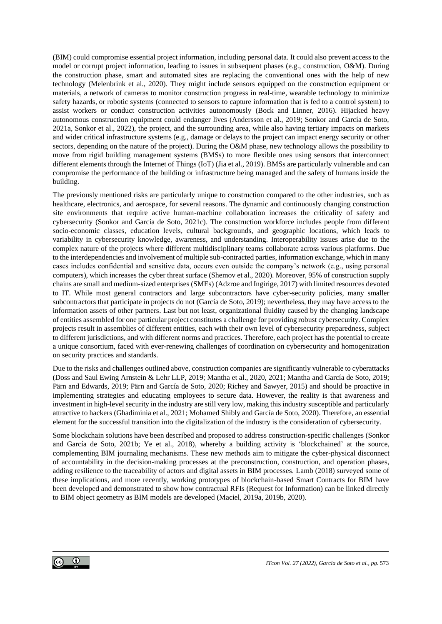(BIM) could compromise essential project information, including personal data. It could also prevent access to the model or corrupt project information, leading to issues in subsequent phases (e.g., construction, O&M). During the construction phase, smart and automated sites are replacing the conventional ones with the help of new technology (Melenbrink et al., 2020). They might include sensors equipped on the construction equipment or materials, a network of cameras to monitor construction progress in real-time, wearable technology to minimize safety hazards, or robotic systems (connected to sensors to capture information that is fed to a control system) to assist workers or conduct construction activities autonomously (Bock and Linner, 2016). Hijacked heavy autonomous construction equipment could endanger lives (Andersson et al., 2019; Sonkor and García de Soto, 2021a, Sonkor et al., 2022), the project, and the surrounding area, while also having tertiary impacts on markets and wider critical infrastructure systems (e.g., damage or delays to the project can impact energy security or other sectors, depending on the nature of the project). During the O&M phase, new technology allows the possibility to move from rigid building management systems (BMSs) to more flexible ones using sensors that interconnect different elements through the Internet of Things (IoT) (Jia et al., 2019). BMSs are particularly vulnerable and can compromise the performance of the building or infrastructure being managed and the safety of humans inside the building.

The previously mentioned risks are particularly unique to construction compared to the other industries, such as healthcare, electronics, and aerospace, for several reasons. The dynamic and continuously changing construction site environments that require active human-machine collaboration increases the criticality of safety and cybersecurity (Sonkor and García de Soto, 2021c). The construction workforce includes people from different socio-economic classes, education levels, cultural backgrounds, and geographic locations, which leads to variability in cybersecurity knowledge, awareness, and understanding. Interoperability issues arise due to the complex nature of the projects where different multidisciplinary teams collaborate across various platforms. Due to the interdependencies and involvement of multiple sub-contracted parties, information exchange, which in many cases includes confidential and sensitive data, occurs even outside the company's network (e.g., using personal computers), which increases the cyber threat surface (Shemov et al., 2020). Moreover, 95% of construction supply chains are small and medium-sized enterprises (SMEs) (Adzroe and Ingirige, 2017) with limited resources devoted to IT. While most general contractors and large subcontractors have cyber-security policies, many smaller subcontractors that participate in projects do not (García de Soto, 2019); nevertheless, they may have access to the information assets of other partners. Last but not least, organizational fluidity caused by the changing landscape of entities assembled for one particular project constitutes a challenge for providing robust cybersecurity. Complex projects result in assemblies of different entities, each with their own level of cybersecurity preparedness, subject to different jurisdictions, and with different norms and practices. Therefore, each project has the potential to create a unique consortium, faced with ever-renewing challenges of coordination on cybersecurity and homogenization on security practices and standards.

Due to the risks and challenges outlined above, construction companies are significantly vulnerable to cyberattacks (Doss and Saul Ewing Arnstein & Lehr LLP, 2019; Mantha et al., 2020, 2021; Mantha and García de Soto, 2019; Pärn and Edwards, 2019; Pärn and García de Soto, 2020; Richey and Sawyer, 2015) and should be proactive in implementing strategies and educating employees to secure data. However, the reality is that awareness and investment in high-level security in the industry are still very low, making this industry susceptible and particularly attractive to hackers (Ghadiminia et al., 2021; Mohamed Shibly and García de Soto, 2020). Therefore, an essential element for the successful transition into the digitalization of the industry is the consideration of cybersecurity.

Some blockchain solutions have been described and proposed to address construction-specific challenges (Sonkor and García de Soto, 2021b; Ye et al., 2018), whereby a building activity is 'blockchained' at the source, complementing BIM journaling mechanisms. These new methods aim to mitigate the cyber-physical disconnect of accountability in the decision-making processes at the preconstruction, construction, and operation phases, adding resilience to the traceability of actors and digital assets in BIM processes. Lamb (2018) surveyed some of these implications, and more recently, working prototypes of blockchain-based Smart Contracts for BIM have been developed and demonstrated to show how contractual RFIs (Request for Information) can be linked directly to BIM object geometry as BIM models are developed (Maciel, 2019a, 2019b, 2020).

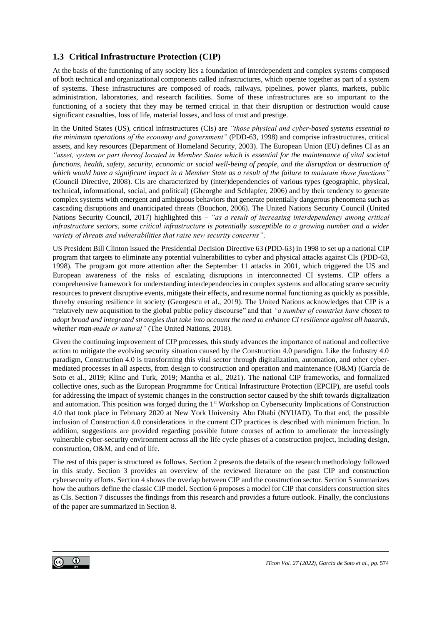## **1.3 Critical Infrastructure Protection (CIP)**

At the basis of the functioning of any society lies a foundation of interdependent and complex systems composed of both technical and organizational components called infrastructures, which operate together as part of a system of systems. These infrastructures are composed of roads, railways, pipelines, power plants, markets, public administration, laboratories, and research facilities. Some of these infrastructures are so important to the functioning of a society that they may be termed critical in that their disruption or destruction would cause significant casualties, loss of life, material losses, and loss of trust and prestige.

In the United States (US), critical infrastructures (CIs) are *"those physical and cyber-based systems essential to the minimum operations of the economy and government"* (PDD-63, 1998) and comprise infrastructures, critical assets, and key resources (Department of Homeland Security, 2003). The European Union (EU) defines CI as an *"asset, system or part thereof located in Member States which is essential for the maintenance of vital societal functions, health, safety, security, economic or social well-being of people, and the disruption or destruction of which would have a significant impact in a Member State as a result of the failure to maintain those functions"* (Council Directive, 2008). CIs are characterized by (inter)dependencies of various types (geographic, physical, technical, informational, social, and political) (Gheorghe and Schlapfer, 2006) and by their tendency to generate complex systems with emergent and ambiguous behaviors that generate potentially dangerous phenomena such as cascading disruptions and unanticipated threats (Bouchon, 2006). The United Nations Security Council (United Nations Security Council, 2017) highlighted this – *"as a result of increasing interdependency among critical infrastructure sectors, some critical infrastructure is potentially susceptible to a growing number and a wider variety of threats and vulnerabilities that raise new security concerns"*.

US President Bill Clinton issued the Presidential Decision Directive 63 (PDD-63) in 1998 to set up a national CIP program that targets to eliminate any potential vulnerabilities to cyber and physical attacks against CIs (PDD-63, 1998). The program got more attention after the September 11 attacks in 2001, which triggered the US and European awareness of the risks of escalating disruptions in interconnected CI systems. CIP offers a comprehensive framework for understanding interdependencies in complex systems and allocating scarce security resources to prevent disruptive events, mitigate their effects, and resume normal functioning as quickly as possible, thereby ensuring resilience in society (Georgescu et al., 2019). The United Nations acknowledges that CIP is a "relatively new acquisition to the global public policy discourse" and that *"a number of countries have chosen to adopt broad and integrated strategies that take into account the need to enhance CI resilience against all hazards, whether man-made or natural"* (The United Nations, 2018).

Given the continuing improvement of CIP processes, this study advances the importance of national and collective action to mitigate the evolving security situation caused by the Construction 4.0 paradigm. Like the Industry 4.0 paradigm, Construction 4.0 is transforming this vital sector through digitalization, automation, and other cybermediated processes in all aspects, from design to construction and operation and maintenance (O&M) (García de Soto et al., 2019; Klinc and Turk, 2019; Mantha et al., 2021). The national CIP frameworks, and formalized collective ones, such as the European Programme for Critical Infrastructure Protection (EPCIP), are useful tools for addressing the impact of systemic changes in the construction sector caused by the shift towards digitalization and automation. This position was forged during the 1<sup>st</sup> Workshop on Cybersecurity Implications of Construction 4.0 that took place in February 2020 at New York University Abu Dhabi (NYUAD). To that end, the possible inclusion of Construction 4.0 considerations in the current CIP practices is described with minimum friction. In addition, suggestions are provided regarding possible future courses of action to ameliorate the increasingly vulnerable cyber-security environment across all the life cycle phases of a construction project, including design, construction, O&M, and end of life.

The rest of this paper is structured as follows. Section 2 presents the details of the research methodology followed in this study. Section 3 provides an overview of the reviewed literature on the past CIP and construction cybersecurity efforts. Section 4 shows the overlap between CIP and the construction sector. Section 5 summarizes how the authors define the classic CIP model. Section 6 proposes a model for CIP that considers construction sites as CIs. Section 7 discusses the findings from this research and provides a future outlook. Finally, the conclusions of the paper are summarized in Section 8.

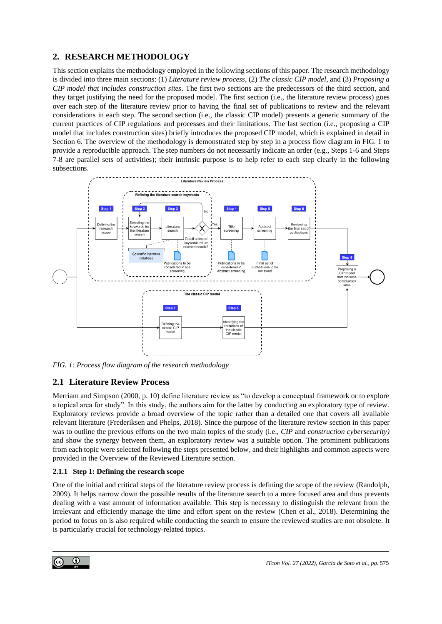## **2. RESEARCH METHODOLOGY**

This section explains the methodology employed in the following sections of this paper. The research methodology is divided into three main sections: (1) *Literature review process*, (2) *The classic CIP model,* and (3) *Proposing a CIP model that includes construction sites*. The first two sections are the predecessors of the third section, and they target justifying the need for the proposed model. The first section (i.e., the literature review process) goes over each step of the literature review prior to having the final set of publications to review and the relevant considerations in each step. The second section (i.e., the classic CIP model) presents a generic summary of the current practices of CIP regulations and processes and their limitations. The last section (i.e., proposing a CIP model that includes construction sites) briefly introduces the proposed CIP model, which is explained in detail in Section 6. The overview of the methodology is demonstrated step by step in a process flow diagram i[n FIG. 1](#page-4-0) to provide a reproducible approach. The step numbers do not necessarily indicate an order (e.g., Steps 1-6 and Steps 7-8 are parallel sets of activities); their intrinsic purpose is to help refer to each step clearly in the following subsections.



<span id="page-4-0"></span>*FIG. 1: Process flow diagram of the research methodology*

## **2.1 Literature Review Process**

Merriam and Simpson (2000, p. 10) define literature review as "to develop a conceptual framework or to explore a topical area for study". In this study, the authors aim for the latter by conducting an exploratory type of review. Exploratory reviews provide a broad overview of the topic rather than a detailed one that covers all available relevant literature (Frederiksen and Phelps, 2018). Since the purpose of the literature review section in this paper was to outline the previous efforts on the two main topics of the study (i.e., *CIP* and *construction cybersecurity)* and show the synergy between them, an exploratory review was a suitable option. The prominent publications from each topic were selected following the steps presented below, and their highlights and common aspects were provided in the Overview of the Reviewed Literature section.

### **2.1.1 Step 1: Defining the research scope**

One of the initial and critical steps of the literature review process is defining the scope of the review (Randolph, 2009). It helps narrow down the possible results of the literature search to a more focused area and thus prevents dealing with a vast amount of information available. This step is necessary to distinguish the relevant from the irrelevant and efficiently manage the time and effort spent on the review (Chen et al., 2018). Determining the period to focus on is also required while conducting the search to ensure the reviewed studies are not obsolete. It is particularly crucial for technology-related topics.

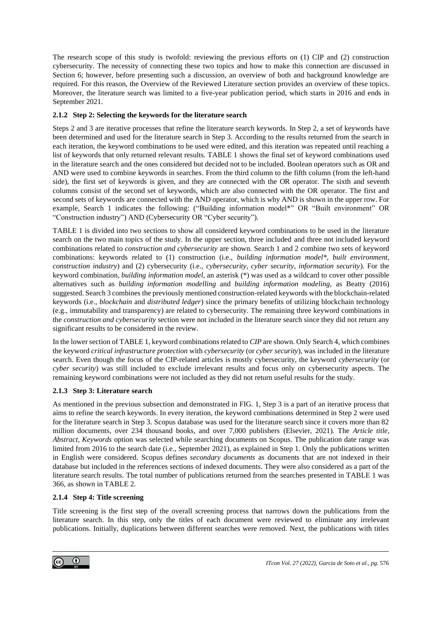The research scope of this study is twofold: reviewing the previous efforts on (1) CIP and (2) construction cybersecurity. The necessity of connecting these two topics and how to make this connection are discussed in Section 6; however, before presenting such a discussion, an overview of both and background knowledge are required. For this reason, the Overview of the Reviewed Literature section provides an overview of these topics. Moreover, the literature search was limited to a five-year publication period, which starts in 2016 and ends in September 2021.

#### **2.1.2 Step 2: Selecting the keywords for the literature search**

Steps 2 and 3 are iterative processes that refine the literature search keywords. In Step 2, a set of keywords have been determined and used for the literature search in Step 3. According to the results returned from the search in each iteration, the keyword combinations to be used were edited, and this iteration was repeated until reaching a list of keywords that only returned relevant results[. TABLE 1](#page-6-0) shows the final set of keyword combinations used in the literature search and the ones considered but decided not to be included. Boolean operators such as OR and AND were used to combine keywords in searches. From the third column to the fifth column (from the left-hand side), the first set of keywords is given, and they are connected with the OR operator. The sixth and seventh columns consist of the second set of keywords, which are also connected with the OR operator. The first and second sets of keywords are connected with the AND operator, which is why AND is shown in the upper row. For example, Search 1 indicates the following: ("Building information model\*" OR "Built environment" OR "Construction industry") AND (Cybersecurity OR "Cyber security").

[TABLE 1](#page-6-0) is divided into two sections to show all considered keyword combinations to be used in the literature search on the two main topics of the study. In the upper section, three included and three not included keyword combinations related to *construction and cybersecurity* are shown. Search 1 and 2 combine two sets of keyword combinations: keywords related to (1) construction (i.e., *building information model\*, built environment, construction industry*) and (2) cybersecurity (i.e., *cybersecurity, cyber security, information security*). For the keyword combination, *building information model*, an asterisk (\*) was used as a wildcard to cover other possible alternatives such as *building information modelling* and *building information modeling*, as Beatty (2016) suggested.Search 3 combines the previously mentioned construction-related keywords with the blockchain-related keywords (i.e., *blockchain* and *distributed ledger*) since the primary benefits of utilizing blockchain technology (e.g., immutability and transparency) are related to cybersecurity. The remaining three keyword combinations in the *construction and cybersecurity* section were not included in the literature search since they did not return any significant results to be considered in the review.

In the lower section o[f TABLE 1,](#page-6-0) keyword combinations related to *CIP* are shown. Only Search 4, which combines the keyword *critical infrastructure protection* with *cybersecurity* (or *cyber security*), was included in the literature search. Even though the focus of the CIP-related articles is mostly cybersecurity, the keyword *cybersecurity* (or *cyber security*) was still included to exclude irrelevant results and focus only on cybersecurity aspects. The remaining keyword combinations were not included as they did not return useful results for the study.

#### **2.1.3 Step 3: Literature search**

As mentioned in the previous subsection and demonstrated in [FIG. 1,](#page-4-0) Step 3 is a part of an iterative process that aims to refine the search keywords. In every iteration, the keyword combinations determined in Step 2 were used for the literature search in Step 3. Scopus database was used for the literature search since it covers more than 82 million documents, over 234 thousand books, and over 7,000 publishers (Elsevier, 2021). The *Article title, Abstract, Keywords* option was selected while searching documents on Scopus. The publication date range was limited from 2016 to the search date (i.e., September 2021), as explained in Step 1. Only the publications written in English were considered. Scopus defines *secondary documents* as documents that are not indexed in their database but included in the references sections of indexed documents. They were also considered as a part of the literature search results. The total number of publications returned from the searches presented in [TABLE 1](#page-6-0) was 366, as shown i[n TABLE 2.](#page-7-0)

#### **2.1.4 Step 4: Title screening**

Title screening is the first step of the overall screening process that narrows down the publications from the literature search. In this step, only the titles of each document were reviewed to eliminate any irrelevant publications. Initially, duplications between different searches were removed. Next, the publications with titles

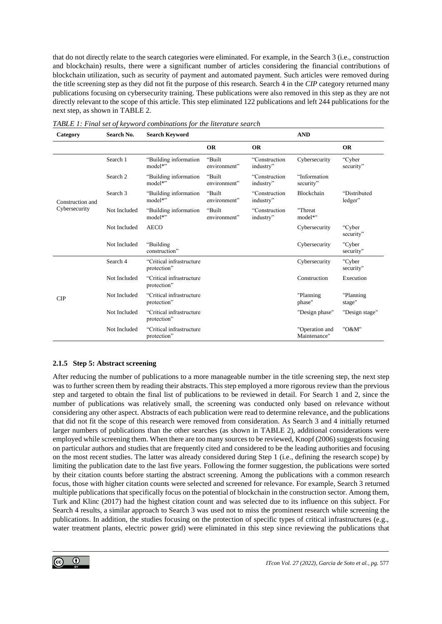that do not directly relate to the search categories were eliminated. For example, in the Search 3 (i.e., construction and blockchain) results, there were a significant number of articles considering the financial contributions of blockchain utilization, such as security of payment and automated payment. Such articles were removed during the title screening step as they did not fit the purpose of this research. Search 4 in the *CIP* category returned many publications focusing on cybersecurity training. These publications were also removed in this step as they are not directly relevant to the scope of this article. This step eliminated 122 publications and left 244 publications for the next step, as shown i[n TABLE 2.](#page-7-0)

| Category         | Search No.   | <b>Search Keyword</b>                   |                        |                            | <b>AND</b>                     |                         |
|------------------|--------------|-----------------------------------------|------------------------|----------------------------|--------------------------------|-------------------------|
|                  |              |                                         | <b>OR</b>              | <b>OR</b>                  |                                | <b>OR</b>               |
|                  | Search 1     | "Building information<br>model*"        | "Built<br>environment" | "Construction<br>industry" | Cybersecurity                  | "Cyber<br>security"     |
|                  | Search 2     | "Building information<br>model*"        | "Built<br>environment" | "Construction<br>industry" | "Information<br>security"      |                         |
| Construction and | Search 3     | "Building information"<br>model*"       | "Built<br>environment" | "Construction<br>industry" | <b>Blockchain</b>              | "Distributed<br>ledger" |
| Cybersecurity    | Not Included | "Building information"<br>model*"       | "Built<br>environment" | "Construction<br>industry" | "Threat<br>model*"             |                         |
|                  | Not Included | <b>AECO</b>                             |                        |                            | Cybersecurity                  | "Cyber<br>security"     |
|                  | Not Included | "Building<br>construction"              |                        |                            | Cybersecurity                  | "Cyber<br>security"     |
|                  | Search 4     | "Critical infrastructure<br>protection" |                        |                            | Cybersecurity                  | "Cyber<br>security"     |
|                  | Not Included | "Critical infrastructure<br>protection" |                        |                            | Construction                   | Execution               |
| CIP              | Not Included | "Critical infrastructure<br>protection" |                        |                            | "Planning<br>phase"            | "Planning<br>stage"     |
|                  | Not Included | "Critical infrastructure<br>protection" |                        |                            | "Design phase"                 | "Design stage"          |
|                  | Not Included | "Critical infrastructure<br>protection" |                        |                            | "Operation and<br>Maintenance" | "O&M"                   |

<span id="page-6-0"></span>*TABLE 1: Final set of keyword combinations for the literature search*

#### **2.1.5 Step 5: Abstract screening**

After reducing the number of publications to a more manageable number in the title screening step, the next step was to further screen them by reading their abstracts. This step employed a more rigorous review than the previous step and targeted to obtain the final list of publications to be reviewed in detail. For Search 1 and 2, since the number of publications was relatively small, the screening was conducted only based on relevance without considering any other aspect. Abstracts of each publication were read to determine relevance, and the publications that did not fit the scope of this research were removed from consideration. As Search 3 and 4 initially returned larger numbers of publications than the other searches (as shown in [TABLE 2\)](#page-7-0), additional considerations were employed while screening them. When there are too many sources to be reviewed, Knopf (2006) suggests focusing on particular authors and studies that are frequently cited and considered to be the leading authorities and focusing on the most recent studies. The latter was already considered during Step 1 (i.e., defining the research scope) by limiting the publication date to the last five years. Following the former suggestion, the publications were sorted by their citation counts before starting the abstract screening. Among the publications with a common research focus, those with higher citation counts were selected and screened for relevance. For example, Search 3 returned multiple publications that specifically focus on the potential of blockchain in the construction sector. Among them, Turk and Klinc (2017) had the highest citation count and was selected due to its influence on this subject. For Search 4 results, a similar approach to Search 3 was used not to miss the prominent research while screening the publications. In addition, the studies focusing on the protection of specific types of critical infrastructures (e.g., water treatment plants, electric power grid) were eliminated in this step since reviewing the publications that

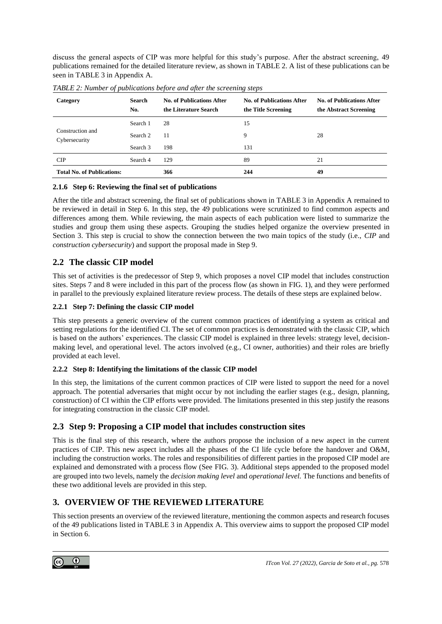discuss the general aspects of CIP was more helpful for this study's purpose. After the abstract screening, 49 publications remained for the detailed literature review, as shown in [TABLE 2.](#page-7-0) A list of these publications can be seen i[n TABLE 3](#page-24-0) in Appendix A.

| Category                          | Search<br>No. | <b>No. of Publications After</b><br>the Literature Search | No. of Publications After<br>the Title Screening | <b>No. of Publications After</b><br>the Abstract Screening |
|-----------------------------------|---------------|-----------------------------------------------------------|--------------------------------------------------|------------------------------------------------------------|
|                                   | Search 1      | 28                                                        | 15                                               |                                                            |
| Construction and<br>Cybersecurity | Search 2      | 11                                                        | 9                                                | 28                                                         |
|                                   | Search 3      | 198                                                       | 131                                              |                                                            |
| <b>CIP</b>                        | Search 4      | 129                                                       | 89                                               | 21                                                         |
| <b>Total No. of Publications:</b> |               | 366                                                       | 244                                              | 49                                                         |

<span id="page-7-0"></span>*TABLE 2: Number of publications before and after the screening steps*

#### **2.1.6 Step 6: Reviewing the final set of publications**

After the title and abstract screening, the final set of publications shown in [TABLE 3](#page-24-0) in Appendix A remained to be reviewed in detail in Step 6. In this step, the 49 publications were scrutinized to find common aspects and differences among them. While reviewing, the main aspects of each publication were listed to summarize the studies and group them using these aspects. Grouping the studies helped organize the overview presented in Section 3. This step is crucial to show the connection between the two main topics of the study (i.e., *CIP* and *construction cybersecurity*) and support the proposal made in Step 9.

### **2.2 The classic CIP model**

This set of activities is the predecessor of Step 9, which proposes a novel CIP model that includes construction sites. Steps 7 and 8 were included in this part of the process flow (as shown in [FIG. 1\)](#page-4-0), and they were performed in parallel to the previously explained literature review process. The details of these steps are explained below.

#### **2.2.1 Step 7: Defining the classic CIP model**

This step presents a generic overview of the current common practices of identifying a system as critical and setting regulations for the identified CI. The set of common practices is demonstrated with the classic CIP, which is based on the authors' experiences. The classic CIP model is explained in three levels: strategy level, decisionmaking level, and operational level. The actors involved (e.g., CI owner, authorities) and their roles are briefly provided at each level.

#### **2.2.2 Step 8: Identifying the limitations of the classic CIP model**

In this step, the limitations of the current common practices of CIP were listed to support the need for a novel approach. The potential adversaries that might occur by not including the earlier stages (e.g., design, planning, construction) of CI within the CIP efforts were provided. The limitations presented in this step justify the reasons for integrating construction in the classic CIP model.

### **2.3 Step 9: Proposing a CIP model that includes construction sites**

This is the final step of this research, where the authors propose the inclusion of a new aspect in the current practices of CIP. This new aspect includes all the phases of the CI life cycle before the handover and O&M, including the construction works. The roles and responsibilities of different parties in the proposed CIP model are explained and demonstrated with a process flow (See [FIG. 3\)](#page-14-0). Additional steps appended to the proposed model are grouped into two levels, namely the *decision making level* and *operational level.* The functions and benefits of these two additional levels are provided in this step.

## **3. OVERVIEW OF THE REVIEWED LITERATURE**

This section presents an overview of the reviewed literature, mentioning the common aspects and research focuses of the 49 publications listed in [TABLE 3](#page-24-0) in Appendix A. This overview aims to support the proposed CIP model in Section 6.

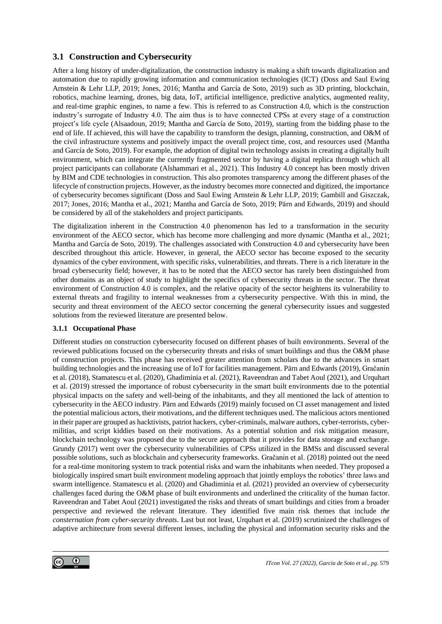### **3.1 Construction and Cybersecurity**

After a long history of under-digitalization, the construction industry is making a shift towards digitalization and automation due to rapidly growing information and communication technologies (ICT) (Doss and Saul Ewing Arnstein & Lehr LLP, 2019; Jones, 2016; Mantha and García de Soto, 2019) such as 3D printing, blockchain, robotics, machine learning, drones, big data, IoT, artificial intelligence, predictive analytics, augmented reality, and real-time graphic engines, to name a few. This is referred to as Construction 4.0, which is the construction industry's surrogate of Industry 4.0. The aim thus is to have connected CPSs at every stage of a construction project's life cycle (Alsaadoun, 2019; Mantha and García de Soto, 2019), starting from the bidding phase to the end of life. If achieved, this will have the capability to transform the design, planning, construction, and O&M of the civil infrastructure systems and positively impact the overall project time, cost, and resources used (Mantha and García de Soto, 2019). For example, the adoption of digital twin technology assists in creating a digitally built environment, which can integrate the currently fragmented sector by having a digital replica through which all project participants can collaborate (Alshammari et al., 2021). This Industry 4.0 concept has been mostly driven by BIM and CDE technologies in construction. This also promotes transparency among the different phases of the lifecycle of construction projects. However, as the industry becomes more connected and digitized, the importance of cybersecurity becomes significant (Doss and Saul Ewing Arnstein & Lehr LLP, 2019; Gambill and Giszczak, 2017; Jones, 2016; Mantha et al., 2021; Mantha and García de Soto, 2019; Pärn and Edwards, 2019) and should be considered by all of the stakeholders and project participants.

The digitalization inherent in the Construction 4.0 phenomenon has led to a transformation in the security environment of the AECO sector, which has become more challenging and more dynamic (Mantha et al., 2021; Mantha and García de Soto, 2019). The challenges associated with Construction 4.0 and cybersecurity have been described throughout this article. However, in general, the AECO sector has become exposed to the security dynamics of the cyber environment, with specific risks, vulnerabilities, and threats. There is a rich literature in the broad cybersecurity field; however, it has to be noted that the AECO sector has rarely been distinguished from other domains as an object of study to highlight the specifics of cybersecurity threats in the sector. The threat environment of Construction 4.0 is complex, and the relative opacity of the sector heightens its vulnerability to external threats and fragility to internal weaknesses from a cybersecurity perspective. With this in mind, the security and threat environment of the AECO sector concerning the general cybersecurity issues and suggested solutions from the reviewed literature are presented below.

#### **3.1.1 Occupational Phase**

Different studies on construction cybersecurity focused on different phases of built environments. Several of the reviewed publications focused on the cybersecurity threats and risks of smart buildings and thus the O&M phase of construction projects. This phase has received greater attention from scholars due to the advances in smart building technologies and the increasing use of IoT for facilities management. Pärn and Edwards (2019), Gračanin et al. (2018), Stamatescu et al. (2020), Ghadiminia et al. (2021), Raveendran and Tabet Aoul (2021), and Urquhart et al. (2019) stressed the importance of robust cybersecurity in the smart built environments due to the potential physical impacts on the safety and well-being of the inhabitants, and they all mentioned the lack of attention to cybersecurity in the AECO industry. Pärn and Edwards (2019) mainly focused on CI asset management and listed the potential malicious actors, their motivations, and the different techniques used. The malicious actors mentioned in their paper are grouped as hacktivists, patriot hackers, cyber-criminals, malware authors, cyber-terrorists, cybermilitias, and script kiddies based on their motivations. As a potential solution and risk mitigation measure, blockchain technology was proposed due to the secure approach that it provides for data storage and exchange. Grundy (2017) went over the cybersecurity vulnerabilities of CPSs utilized in the BMSs and discussed several possible solutions, such as blockchain and cybersecurity frameworks. Gračanin et al. (2018) pointed out the need for a real-time monitoring system to track potential risks and warn the inhabitants when needed. They proposed a biologically inspired smart built environment modeling approach that jointly employs the robotics' three laws and swarm intelligence. Stamatescu et al. (2020) and Ghadiminia et al. (2021) provided an overview of cybersecurity challenges faced during the O&M phase of built environments and underlined the criticality of the human factor. Raveendran and Tabet Aoul (2021) investigated the risks and threats of smart buildings and cities from a broader perspective and reviewed the relevant literature. They identified five main risk themes that include *the consternation from cyber-security threats*. Last but not least, Urquhart et al. (2019) scrutinized the challenges of adaptive architecture from several different lenses, including the physical and information security risks and the

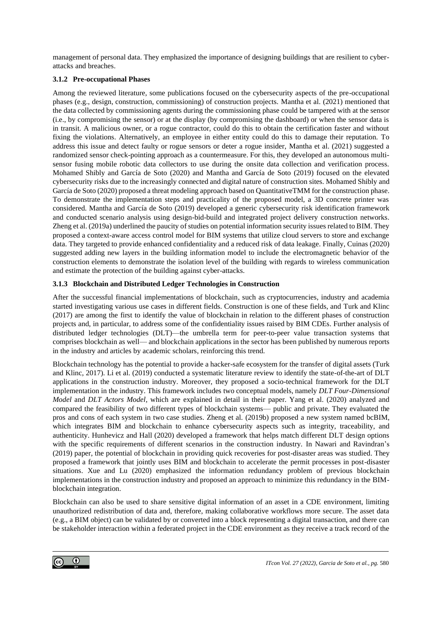management of personal data. They emphasized the importance of designing buildings that are resilient to cyberattacks and breaches.

#### **3.1.2 Pre-occupational Phases**

Among the reviewed literature, some publications focused on the cybersecurity aspects of the pre-occupational phases (e.g., design, construction, commissioning) of construction projects. Mantha et al. (2021) mentioned that the data collected by commissioning agents during the commissioning phase could be tampered with at the sensor (i.e., by compromising the sensor) or at the display (by compromising the dashboard) or when the sensor data is in transit. A malicious owner, or a rogue contractor, could do this to obtain the certification faster and without fixing the violations. Alternatively, an employee in either entity could do this to damage their reputation. To address this issue and detect faulty or rogue sensors or deter a rogue insider, Mantha et al. (2021) suggested a randomized sensor check-pointing approach as a countermeasure. For this, they developed an autonomous multisensor fusing mobile robotic data collectors to use during the onsite data collection and verification process. Mohamed Shibly and García de Soto (2020) and Mantha and García de Soto (2019) focused on the elevated cybersecurity risks due to the increasingly connected and digital nature of construction sites. Mohamed Shibly and García de Soto (2020) proposed a threat modeling approach based on QuantitativeTMM for the construction phase. To demonstrate the implementation steps and practicality of the proposed model, a 3D concrete printer was considered. Mantha and García de Soto (2019) developed a generic cybersecurity risk identification framework and conducted scenario analysis using design-bid-build and integrated project delivery construction networks. Zheng et al. (2019a) underlined the paucity of studies on potential information security issues related to BIM. They proposed a context-aware access control model for BIM systems that utilize cloud servers to store and exchange data. They targeted to provide enhanced confidentiality and a reduced risk of data leakage. Finally, Cuinas (2020) suggested adding new layers in the building information model to include the electromagnetic behavior of the construction elements to demonstrate the isolation level of the building with regards to wireless communication and estimate the protection of the building against cyber-attacks.

#### **3.1.3 Blockchain and Distributed Ledger Technologies in Construction**

After the successful financial implementations of blockchain, such as cryptocurrencies, industry and academia started investigating various use cases in different fields. Construction is one of these fields, and Turk and Klinc (2017) are among the first to identify the value of blockchain in relation to the different phases of construction projects and, in particular, to address some of the confidentiality issues raised by BIM CDEs. Further analysis of distributed ledger technologies (DLT)—the umbrella term for peer-to-peer value transaction systems that comprises blockchain as well— and blockchain applications in the sector has been published by numerous reports in the industry and articles by academic scholars, reinforcing this trend.

Blockchain technology has the potential to provide a hacker-safe ecosystem for the transfer of digital assets (Turk and Klinc, 2017). Li et al. (2019) conducted a systematic literature review to identify the state-of-the-art of DLT applications in the construction industry. Moreover, they proposed a socio-technical framework for the DLT implementation in the industry. This framework includes two conceptual models, namely *DLT Four-Dimensional Model* and *DLT Actors Model,* which are explained in detail in their paper. Yang et al. (2020) analyzed and compared the feasibility of two different types of blockchain systems— public and private. They evaluated the pros and cons of each system in two case studies. Zheng et al. (2019b) proposed a new system named bcBIM, which integrates BIM and blockchain to enhance cybersecurity aspects such as integrity, traceability, and authenticity. Hunhevicz and Hall (2020) developed a framework that helps match different DLT design options with the specific requirements of different scenarios in the construction industry. In Nawari and Ravindran's (2019) paper, the potential of blockchain in providing quick recoveries for post-disaster areas was studied. They proposed a framework that jointly uses BIM and blockchain to accelerate the permit processes in post-disaster situations. Xue and Lu (2020) emphasized the information redundancy problem of previous blockchain implementations in the construction industry and proposed an approach to minimize this redundancy in the BIMblockchain integration.

Blockchain can also be used to share sensitive digital information of an asset in a CDE environment, limiting unauthorized redistribution of data and, therefore, making collaborative workflows more secure. The asset data (e.g., a BIM object) can be validated by or converted into a block representing a digital transaction, and there can be stakeholder interaction within a federated project in the CDE environment as they receive a track record of the

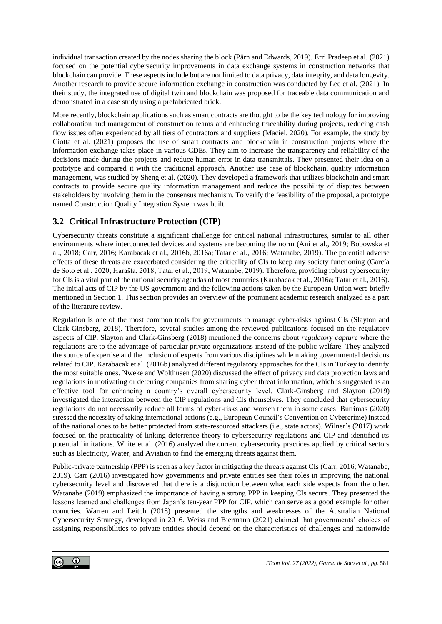individual transaction created by the nodes sharing the block (Pärn and Edwards, 2019). Erri Pradeep et al. (2021) focused on the potential cybersecurity improvements in data exchange systems in construction networks that blockchain can provide. These aspects include but are not limited to data privacy, data integrity, and data longevity. Another research to provide secure information exchange in construction was conducted by Lee et al. (2021). In their study, the integrated use of digital twin and blockchain was proposed for traceable data communication and demonstrated in a case study using a prefabricated brick.

More recently, blockchain applications such as smart contracts are thought to be the key technology for improving collaboration and management of construction teams and enhancing traceability during projects, reducing cash flow issues often experienced by all tiers of contractors and suppliers (Maciel, 2020). For example, the study by Ciotta et al. (2021) proposes the use of smart contracts and blockchain in construction projects where the information exchange takes place in various CDEs. They aim to increase the transparency and reliability of the decisions made during the projects and reduce human error in data transmittals. They presented their idea on a prototype and compared it with the traditional approach. Another use case of blockchain, quality information management, was studied by Sheng et al. (2020). They developed a framework that utilizes blockchain and smart contracts to provide secure quality information management and reduce the possibility of disputes between stakeholders by involving them in the consensus mechanism. To verify the feasibility of the proposal, a prototype named Construction Quality Integration System was built.

## **3.2 Critical Infrastructure Protection (CIP)**

Cybersecurity threats constitute a significant challenge for critical national infrastructures, similar to all other environments where interconnected devices and systems are becoming the norm (Ani et al., 2019; Bobowska et al., 2018; Carr, 2016; Karabacak et al., 2016b, 2016a; Tatar et al., 2016; Watanabe, 2019). The potential adverse effects of these threats are exacerbated considering the criticality of CIs to keep any society functioning (García de Soto et al., 2020; Harašta, 2018; Tatar et al., 2019; Watanabe, 2019). Therefore, providing robust cybersecurity for CIs is a vital part of the national security agendas of most countries (Karabacak et al., 2016a; Tatar et al., 2016). The initial acts of CIP by the US government and the following actions taken by the European Union were briefly mentioned in Section 1. This section provides an overview of the prominent academic research analyzed as a part of the literature review.

Regulation is one of the most common tools for governments to manage cyber-risks against CIs (Slayton and Clark-Ginsberg, 2018). Therefore, several studies among the reviewed publications focused on the regulatory aspects of CIP. Slayton and Clark-Ginsberg (2018) mentioned the concerns about *regulatory capture* where the regulations are to the advantage of particular private organizations instead of the public welfare. They analyzed the source of expertise and the inclusion of experts from various disciplines while making governmental decisions related to CIP. Karabacak et al. (2016b) analyzed different regulatory approaches for the CIs in Turkey to identify the most suitable ones. Nweke and Wolthusen (2020) discussed the effect of privacy and data protection laws and regulations in motivating or deterring companies from sharing cyber threat information, which is suggested as an effective tool for enhancing a country's overall cybersecurity level. Clark-Ginsberg and Slayton (2019) investigated the interaction between the CIP regulations and CIs themselves. They concluded that cybersecurity regulations do not necessarily reduce all forms of cyber-risks and worsen them in some cases. Butrimas (2020) stressed the necessity of taking international actions (e.g., European Council's Convention on Cybercrime) instead of the national ones to be better protected from state-resourced attackers (i.e., state actors). Wilner's (2017) work focused on the practicality of linking deterrence theory to cybersecurity regulations and CIP and identified its potential limitations. White et al. (2016) analyzed the current cybersecurity practices applied by critical sectors such as Electricity, Water, and Aviation to find the emerging threats against them.

Public-private partnership (PPP) is seen as a key factor in mitigating the threats against CIs (Carr, 2016; Watanabe, 2019). Carr (2016) investigated how governments and private entities see their roles in improving the national cybersecurity level and discovered that there is a disjunction between what each side expects from the other. Watanabe (2019) emphasized the importance of having a strong PPP in keeping CIs secure. They presented the lessons learned and challenges from Japan's ten-year PPP for CIP, which can serve as a good example for other countries. Warren and Leitch (2018) presented the strengths and weaknesses of the Australian National Cybersecurity Strategy, developed in 2016. Weiss and Biermann (2021) claimed that governments' choices of assigning responsibilities to private entities should depend on the characteristics of challenges and nationwide

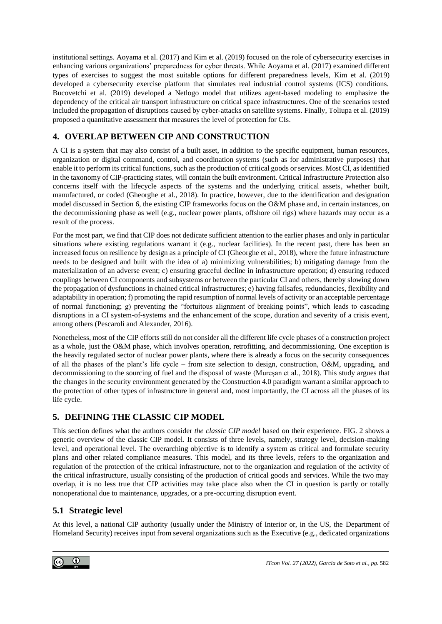institutional settings. Aoyama et al. (2017) and Kim et al. (2019) focused on the role of cybersecurity exercises in enhancing various organizations' preparedness for cyber threats. While Aoyama et al. (2017) examined different types of exercises to suggest the most suitable options for different preparedness levels, Kim et al. (2019) developed a cybersecurity exercise platform that simulates real industrial control systems (ICS) conditions. Bucovetchi et al. (2019) developed a Netlogo model that utilizes agent-based modeling to emphasize the dependency of the critical air transport infrastructure on critical space infrastructures. One of the scenarios tested included the propagation of disruptions caused by cyber-attacks on satellite systems. Finally, Toliupa et al. (2019) proposed a quantitative assessment that measures the level of protection for CIs.

# **4. OVERLAP BETWEEN CIP AND CONSTRUCTION**

A CI is a system that may also consist of a built asset, in addition to the specific equipment, human resources, organization or digital command, control, and coordination systems (such as for administrative purposes) that enable it to perform its critical functions, such as the production of critical goods or services. Most CI, as identified in the taxonomy of CIP-practicing states, will contain the built environment. Critical Infrastructure Protection also concerns itself with the lifecycle aspects of the systems and the underlying critical assets, whether built, manufactured, or coded (Gheorghe et al., 2018). In practice, however, due to the identification and designation model discussed in Section 6, the existing CIP frameworks focus on the O&M phase and, in certain instances, on the decommissioning phase as well (e.g., nuclear power plants, offshore oil rigs) where hazards may occur as a result of the process.

For the most part, we find that CIP does not dedicate sufficient attention to the earlier phases and only in particular situations where existing regulations warrant it (e.g., nuclear facilities). In the recent past, there has been an increased focus on resilience by design as a principle of CI (Gheorghe et al., 2018), where the future infrastructure needs to be designed and built with the idea of a) minimizing vulnerabilities; b) mitigating damage from the materialization of an adverse event; c) ensuring graceful decline in infrastructure operation; d) ensuring reduced couplings between CI components and subsystems or between the particular CI and others, thereby slowing down the propagation of dysfunctions in chained critical infrastructures; e) having failsafes, redundancies, flexibility and adaptability in operation; f) promoting the rapid resumption of normal levels of activity or an acceptable percentage of normal functioning; g) preventing the "fortuitous alignment of breaking points", which leads to cascading disruptions in a CI system-of-systems and the enhancement of the scope, duration and severity of a crisis event, among others (Pescaroli and Alexander, 2016).

Nonetheless, most of the CIP efforts still do not consider all the different life cycle phases of a construction project as a whole, just the O&M phase, which involves operation, retrofitting, and decommissioning. One exception is the heavily regulated sector of nuclear power plants, where there is already a focus on the security consequences of all the phases of the plant's life cycle – from site selection to design, construction, O&M, upgrading, and decommissioning to the sourcing of fuel and the disposal of waste (Mureșan et al., 2018). This study argues that the changes in the security environment generated by the Construction 4.0 paradigm warrant a similar approach to the protection of other types of infrastructure in general and, most importantly, the CI across all the phases of its life cycle.

# **5. DEFINING THE CLASSIC CIP MODEL**

This section defines what the authors consider *the classic CIP model* based on their experience. FIG. 2 shows a generic overview of the classic CIP model. It consists of three levels, namely, strategy level, decision-making level, and operational level. The overarching objective is to identify a system as critical and formulate security plans and other related compliance measures. This model, and its three levels, refers to the organization and regulation of the protection of the critical infrastructure, not to the organization and regulation of the activity of the critical infrastructure, usually consisting of the production of critical goods and services. While the two may overlap, it is no less true that CIP activities may take place also when the CI in question is partly or totally nonoperational due to maintenance, upgrades, or a pre-occurring disruption event.

# **5.1 Strategic level**

At this level, a national CIP authority (usually under the Ministry of Interior or, in the US, the Department of Homeland Security) receives input from several organizations such as the Executive (e.g., dedicated organizations

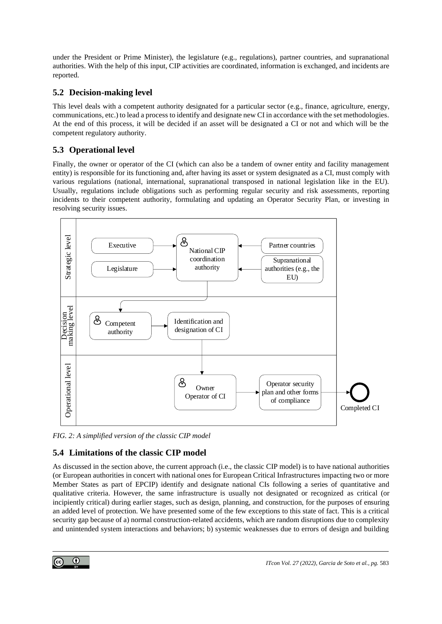under the President or Prime Minister), the legislature (e.g., regulations), partner countries, and supranational authorities. With the help of this input, CIP activities are coordinated, information is exchanged, and incidents are reported.

## **5.2 Decision-making level**

This level deals with a competent authority designated for a particular sector (e.g., finance, agriculture, energy, communications, etc.) to lead a process to identify and designate new CI in accordance with the set methodologies. At the end of this process, it will be decided if an asset will be designated a CI or not and which will be the competent regulatory authority.

# **5.3 Operational level**

Finally, the owner or operator of the CI (which can also be a tandem of owner entity and facility management entity) is responsible for its functioning and, after having its asset or system designated as a CI, must comply with various regulations (national, international, supranational transposed in national legislation like in the EU). Usually, regulations include obligations such as performing regular security and risk assessments, reporting incidents to their competent authority, formulating and updating an Operator Security Plan, or investing in resolving security issues.



*FIG. 2: A simplified version of the classic CIP model*

# **5.4 Limitations of the classic CIP model**

As discussed in the section above, the current approach (i.e., the classic CIP model) is to have national authorities (or European authorities in concert with national ones for European Critical Infrastructures impacting two or more Member States as part of EPCIP) identify and designate national CIs following a series of quantitative and qualitative criteria. However, the same infrastructure is usually not designated or recognized as critical (or incipiently critical) during earlier stages, such as design, planning, and construction, for the purposes of ensuring an added level of protection. We have presented some of the few exceptions to this state of fact. This is a critical security gap because of a) normal construction-related accidents, which are random disruptions due to complexity and unintended system interactions and behaviors; b) systemic weaknesses due to errors of design and building

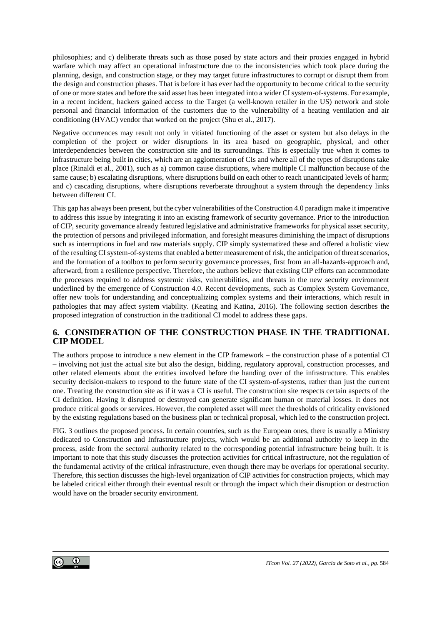philosophies; and c) deliberate threats such as those posed by state actors and their proxies engaged in hybrid warfare which may affect an operational infrastructure due to the inconsistencies which took place during the planning, design, and construction stage, or they may target future infrastructures to corrupt or disrupt them from the design and construction phases. That is before it has ever had the opportunity to become critical to the security of one or more states and before the said asset has been integrated into a wider CI system-of-systems. For example, in a recent incident, hackers gained access to the Target (a well-known retailer in the US) network and stole personal and financial information of the customers due to the vulnerability of a heating ventilation and air conditioning (HVAC) vendor that worked on the project (Shu et al., 2017).

Negative occurrences may result not only in vitiated functioning of the asset or system but also delays in the completion of the project or wider disruptions in its area based on geographic, physical, and other interdependencies between the construction site and its surroundings. This is especially true when it comes to infrastructure being built in cities, which are an agglomeration of CIs and where all of the types of disruptions take place (Rinaldi et al., 2001), such as a) common cause disruptions, where multiple CI malfunction because of the same cause; b) escalating disruptions, where disruptions build on each other to reach unanticipated levels of harm; and c) cascading disruptions, where disruptions reverberate throughout a system through the dependency links between different CI.

This gap has always been present, but the cyber vulnerabilities of the Construction 4.0 paradigm make it imperative to address this issue by integrating it into an existing framework of security governance. Prior to the introduction of CIP, security governance already featured legislative and administrative frameworks for physical asset security, the protection of persons and privileged information, and foresight measures diminishing the impact of disruptions such as interruptions in fuel and raw materials supply. CIP simply systematized these and offered a holistic view of the resulting CI system-of-systems that enabled a better measurement of risk, the anticipation of threat scenarios, and the formation of a toolbox to perform security governance processes, first from an all-hazards-approach and, afterward, from a resilience perspective. Therefore, the authors believe that existing CIP efforts can accommodate the processes required to address systemic risks, vulnerabilities, and threats in the new security environment underlined by the emergence of Construction 4.0. Recent developments, such as Complex System Governance, offer new tools for understanding and conceptualizing complex systems and their interactions, which result in pathologies that may affect system viability. (Keating and Katina, 2016). The following section describes the proposed integration of construction in the traditional CI model to address these gaps.

### **6. CONSIDERATION OF THE CONSTRUCTION PHASE IN THE TRADITIONAL CIP MODEL**

The authors propose to introduce a new element in the CIP framework – the construction phase of a potential CI – involving not just the actual site but also the design, bidding, regulatory approval, construction processes, and other related elements about the entities involved before the handing over of the infrastructure. This enables security decision-makers to respond to the future state of the CI system-of-systems, rather than just the current one. Treating the construction site as if it was a CI is useful. The construction site respects certain aspects of the CI definition. Having it disrupted or destroyed can generate significant human or material losses. It does not produce critical goods or services. However, the completed asset will meet the thresholds of criticality envisioned by the existing regulations based on the business plan or technical proposal, which led to the construction project.

FIG. 3 outlines the proposed process. In certain countries, such as the European ones, there is usually a Ministry dedicated to Construction and Infrastructure projects, which would be an additional authority to keep in the process, aside from the sectoral authority related to the corresponding potential infrastructure being built. It is important to note that this study discusses the protection activities for critical infrastructure, not the regulation of the fundamental activity of the critical infrastructure, even though there may be overlaps for operational security. Therefore, this section discusses the high-level organization of CIP activities for construction projects, which may be labeled critical either through their eventual result or through the impact which their disruption or destruction would have on the broader security environment.

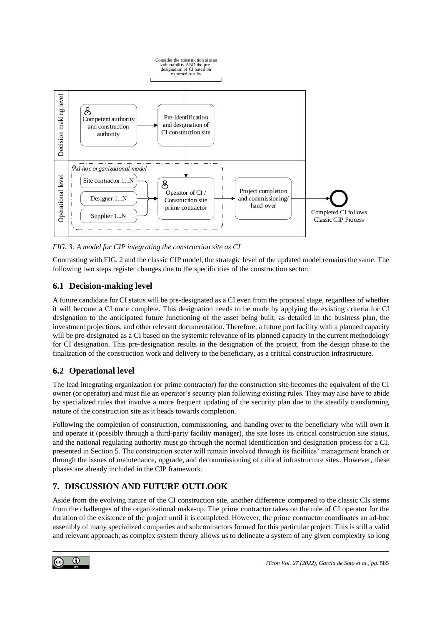

<span id="page-14-0"></span>*FIG. 3: A model for CIP integrating the construction site as CI*

Contrasting with FIG. 2 and the classic CIP model, the strategic level of the updated model remains the same. The following two steps register changes due to the specificities of the construction sector:

# **6.1 Decision-making level**

A future candidate for CI status will be pre-designated as a CI even from the proposal stage, regardless of whether it will become a CI once complete. This designation needs to be made by applying the existing criteria for CI designation to the anticipated future functioning of the asset being built, as detailed in the business plan, the investment projections, and other relevant documentation. Therefore, a future port facility with a planned capacity will be pre-designated as a CI based on the systemic relevance of its planned capacity in the current methodology for CI designation. This pre-designation results in the designation of the project, from the design phase to the finalization of the construction work and delivery to the beneficiary, as a critical construction infrastructure.

# **6.2 Operational level**

The lead integrating organization (or prime contractor) for the construction site becomes the equivalent of the CI owner (or operator) and must file an operator's security plan following existing rules. They may also have to abide by specialized rules that involve a more frequent updating of the security plan due to the steadily transforming nature of the construction site as it heads towards completion.

Following the completion of construction, commissioning, and handing over to the beneficiary who will own it and operate it (possibly through a third-party facility manager), the site loses its critical construction site status, and the national regulating authority must go through the normal identification and designation process for a CI, presented in Section 5. The construction sector will remain involved through its facilities' management branch or through the issues of maintenance, upgrade, and decommissioning of critical infrastructure sites. However, these phases are already included in the CIP framework.

# **7. DISCUSSION AND FUTURE OUTLOOK**

Aside from the evolving nature of the CI construction site, another difference compared to the classic CIs stems from the challenges of the organizational make-up. The prime contractor takes on the role of CI operator for the duration of the existence of the project until it is completed. However, the prime contractor coordinates an ad-hoc assembly of many specialized companies and subcontractors formed for this particular project. This is still a valid and relevant approach, as complex system theory allows us to delineate a system of any given complexity so long

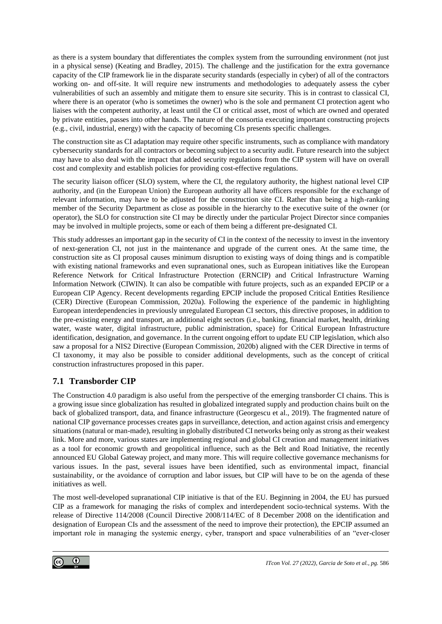as there is a system boundary that differentiates the complex system from the surrounding environment (not just in a physical sense) (Keating and Bradley, 2015). The challenge and the justification for the extra governance capacity of the CIP framework lie in the disparate security standards (especially in cyber) of all of the contractors working on- and off-site. It will require new instruments and methodologies to adequately assess the cyber vulnerabilities of such an assembly and mitigate them to ensure site security. This is in contrast to classical CI, where there is an operator (who is sometimes the owner) who is the sole and permanent CI protection agent who liaises with the competent authority, at least until the CI or critical asset, most of which are owned and operated by private entities, passes into other hands. The nature of the consortia executing important constructing projects (e.g., civil, industrial, energy) with the capacity of becoming CIs presents specific challenges.

The construction site as CI adaptation may require other specific instruments, such as compliance with mandatory cybersecurity standards for all contractors or becoming subject to a security audit. Future research into the subject may have to also deal with the impact that added security regulations from the CIP system will have on overall cost and complexity and establish policies for providing cost-effective regulations.

The security liaison officer (SLO) system, where the CI, the regulatory authority, the highest national level CIP authority, and (in the European Union) the European authority all have officers responsible for the exchange of relevant information, may have to be adjusted for the construction site CI. Rather than being a high-ranking member of the Security Department as close as possible in the hierarchy to the executive suite of the owner (or operator), the SLO for construction site CI may be directly under the particular Project Director since companies may be involved in multiple projects, some or each of them being a different pre-designated CI.

This study addresses an important gap in the security of CI in the context of the necessity to invest in the inventory of next-generation CI, not just in the maintenance and upgrade of the current ones. At the same time, the construction site as CI proposal causes minimum disruption to existing ways of doing things and is compatible with existing national frameworks and even supranational ones, such as European initiatives like the European Reference Network for Critical Infrastructure Protection (ERNCIP) and Critical Infrastructure Warning Information Network (CIWIN). It can also be compatible with future projects, such as an expanded EPCIP or a European CIP Agency. Recent developments regarding EPCIP include the proposed Critical Entities Resilience (CER) Directive (European Commission, 2020a). Following the experience of the pandemic in highlighting European interdependencies in previously unregulated European CI sectors, this directive proposes, in addition to the pre-existing energy and transport, an additional eight sectors (i.e., banking, financial market, health, drinking water, waste water, digital infrastructure, public administration, space) for Critical European Infrastructure identification, designation, and governance. In the current ongoing effort to update EU CIP legislation, which also saw a proposal for a NIS2 Directive (European Commission, 2020b) aligned with the CER Directive in terms of CI taxonomy, it may also be possible to consider additional developments, such as the concept of critical construction infrastructures proposed in this paper.

## **7.1 Transborder CIP**

The Construction 4.0 paradigm is also useful from the perspective of the emerging transborder CI chains. This is a growing issue since globalization has resulted in globalized integrated supply and production chains built on the back of globalized transport, data, and finance infrastructure (Georgescu et al., 2019). The fragmented nature of national CIP governance processes creates gaps in surveillance, detection, and action against crisis and emergency situations (natural or man-made), resulting in globally distributed CI networks being only as strong as their weakest link. More and more, various states are implementing regional and global CI creation and management initiatives as a tool for economic growth and geopolitical influence, such as the Belt and Road Initiative, the recently announced EU Global Gateway project, and many more. This will require collective governance mechanisms for various issues. In the past, several issues have been identified, such as environmental impact, financial sustainability, or the avoidance of corruption and labor issues, but CIP will have to be on the agenda of these initiatives as well.

The most well-developed supranational CIP initiative is that of the EU. Beginning in 2004, the EU has pursued CIP as a framework for managing the risks of complex and interdependent socio-technical systems. With the release of Directive 114/2008 (Council Directive 2008/114/EC of 8 December 2008 on the identification and designation of European CIs and the assessment of the need to improve their protection), the EPCIP assumed an important role in managing the systemic energy, cyber, transport and space vulnerabilities of an "ever-closer

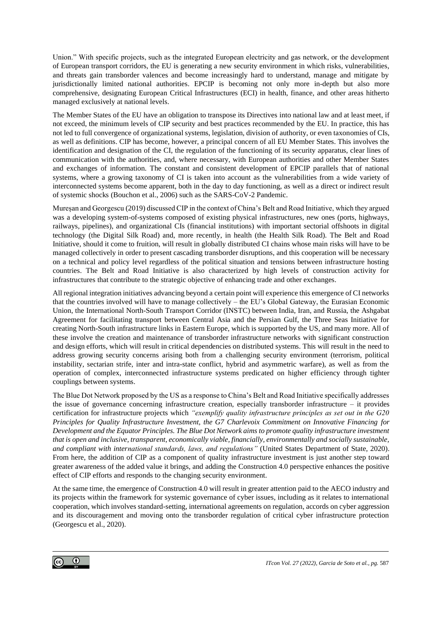Union." With specific projects, such as the integrated European electricity and gas network, or the development of European transport corridors, the EU is generating a new security environment in which risks, vulnerabilities, and threats gain transborder valences and become increasingly hard to understand, manage and mitigate by jurisdictionally limited national authorities. EPCIP is becoming not only more in-depth but also more comprehensive, designating European Critical Infrastructures (ECI) in health, finance, and other areas hitherto managed exclusively at national levels.

The Member States of the EU have an obligation to transpose its Directives into national law and at least meet, if not exceed, the minimum levels of CIP security and best practices recommended by the EU. In practice, this has not led to full convergence of organizational systems, legislation, division of authority, or even taxonomies of CIs, as well as definitions. CIP has become, however, a principal concern of all EU Member States. This involves the identification and designation of the CI, the regulation of the functioning of its security apparatus, clear lines of communication with the authorities, and, where necessary, with European authorities and other Member States and exchanges of information. The constant and consistent development of EPCIP parallels that of national systems, where a growing taxonomy of CI is taken into account as the vulnerabilities from a wide variety of interconnected systems become apparent, both in the day to day functioning, as well as a direct or indirect result of systemic shocks (Bouchon et al., 2006) such as the SARS-CoV-2 Pandemic.

Mureșan and Georgescu (2019) discussed CIP in the context of China's Belt and Road Initiative, which they argued was a developing system-of-systems composed of existing physical infrastructures, new ones (ports, highways, railways, pipelines), and organizational CIs (financial institutions) with important sectorial offshoots in digital technology (the Digital Silk Road) and, more recently, in health (the Health Silk Road). The Belt and Road Initiative, should it come to fruition, will result in globally distributed CI chains whose main risks will have to be managed collectively in order to present cascading transborder disruptions, and this cooperation will be necessary on a technical and policy level regardless of the political situation and tensions between infrastructure hosting countries. The Belt and Road Initiative is also characterized by high levels of construction activity for infrastructures that contribute to the strategic objective of enhancing trade and other exchanges.

All regional integration initiatives advancing beyond a certain point will experience this emergence of CI networks that the countries involved will have to manage collectively – the EU's Global Gateway, the Eurasian Economic Union, the International North-South Transport Corridor (INSTC) between India, Iran, and Russia, the Ashgabat Agreement for facilitating transport between Central Asia and the Persian Gulf, the Three Seas Initiative for creating North-South infrastructure links in Eastern Europe, which is supported by the US, and many more. All of these involve the creation and maintenance of transborder infrastructure networks with significant construction and design efforts, which will result in critical dependencies on distributed systems. This will result in the need to address growing security concerns arising both from a challenging security environment (terrorism, political instability, sectarian strife, inter and intra-state conflict, hybrid and asymmetric warfare), as well as from the operation of complex, interconnected infrastructure systems predicated on higher efficiency through tighter couplings between systems.

The Blue Dot Network proposed by the US as a response to China's Belt and Road Initiative specifically addresses the issue of governance concerning infrastructure creation, especially transborder infrastructure – it provides certification for infrastructure projects which *"exemplify quality infrastructure principles as set out in the G20 Principles for Quality Infrastructure Investment, the G7 Charlevoix Commitment on Innovative Financing for Development and the Equator Principles. The Blue Dot Network aims to promote quality infrastructure investment that is open and inclusive, transparent, economically viable, financially, environmentally and socially sustainable, and compliant with international standards, laws, and regulations"* (United States Department of State, 2020). From here, the addition of CIP as a component of quality infrastructure investment is just another step toward greater awareness of the added value it brings, and adding the Construction 4.0 perspective enhances the positive effect of CIP efforts and responds to the changing security environment.

At the same time, the emergence of Construction 4.0 will result in greater attention paid to the AECO industry and its projects within the framework for systemic governance of cyber issues, including as it relates to international cooperation, which involves standard-setting, international agreements on regulation, accords on cyber aggression and its discouragement and moving onto the transborder regulation of critical cyber infrastructure protection (Georgescu et al., 2020).

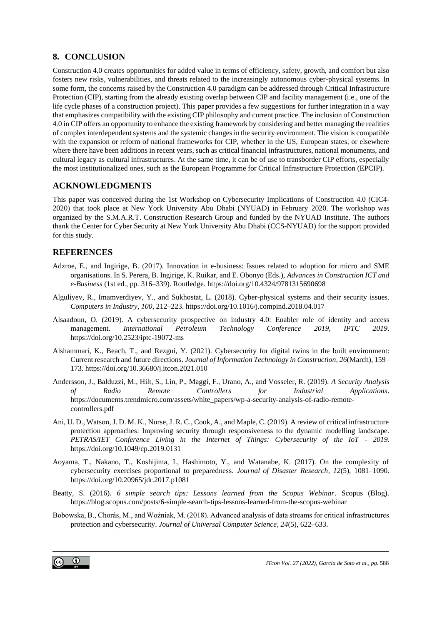## **8. CONCLUSION**

Construction 4.0 creates opportunities for added value in terms of efficiency, safety, growth, and comfort but also fosters new risks, vulnerabilities, and threats related to the increasingly autonomous cyber-physical systems. In some form, the concerns raised by the Construction 4.0 paradigm can be addressed through Critical Infrastructure Protection (CIP), starting from the already existing overlap between CIP and facility management (i.e., one of the life cycle phases of a construction project). This paper provides a few suggestions for further integration in a way that emphasizes compatibility with the existing CIP philosophy and current practice. The inclusion of Construction 4.0 in CIP offers an opportunity to enhance the existing framework by considering and better managing the realities of complex interdependent systems and the systemic changes in the security environment. The vision is compatible with the expansion or reform of national frameworks for CIP, whether in the US, European states, or elsewhere where there have been additions in recent years, such as critical financial infrastructures, national monuments, and cultural legacy as cultural infrastructures. At the same time, it can be of use to transborder CIP efforts, especially the most institutionalized ones, such as the European Programme for Critical Infrastructure Protection (EPCIP).

### **ACKNOWLEDGMENTS**

This paper was conceived during the 1st Workshop on Cybersecurity Implications of Construction 4.0 (CIC4- 2020) that took place at New York University Abu Dhabi (NYUAD) in February 2020. The workshop was organized by the S.M.A.R.T. Construction Research Group and funded by the NYUAD Institute. The authors thank the Center for Cyber Security at New York University Abu Dhabi (CCS-NYUAD) for the support provided for this study.

### **REFERENCES**

- Adzroe, E., and Ingirige, B. (2017). Innovation in e-business: Issues related to adoption for micro and SME organisations. In S. Perera, B. Ingirige, K. Ruikar, and E. Obonyo (Eds.), *Advances in Construction ICT and e-Business* (1st ed., pp. 316–339). Routledge. https://doi.org/10.4324/9781315690698
- Alguliyev, R., Imamverdiyev, Y., and Sukhostat, L. (2018). Cyber-physical systems and their security issues. *Computers in Industry*, *100*, 212–223. https://doi.org/10.1016/j.compind.2018.04.017
- Alsaadoun, O. (2019). A cybersecurity prospective on industry 4.0: Enabler role of identity and access management. *International Petroleum Technology Conference 2019, IPTC 2019*. https://doi.org/10.2523/iptc-19072-ms
- Alshammari, K., Beach, T., and Rezgui, Y. (2021). Cybersecurity for digital twins in the built environment: Current research and future directions. *Journal of Information Technology in Construction*, *26*(March), 159– 173. https://doi.org/10.36680/j.itcon.2021.010
- Andersson, J., Balduzzi, M., Hilt, S., Lin, P., Maggi, F., Urano, A., and Vosseler, R. (2019). *A Security Analysis of Radio Remote Controllers for Industrial Applications*. https://documents.trendmicro.com/assets/white\_papers/wp-a-security-analysis-of-radio-remotecontrollers.pdf
- Ani, U. D., Watson, J. D. M. K., Nurse, J. R. C., Cook, A., and Maple, C. (2019). A review of critical infrastructure protection approaches: Improving security through responsiveness to the dynamic modelling landscape. *PETRAS/IET Conference Living in the Internet of Things: Cybersecurity of the IoT - 2019*. https://doi.org/10.1049/cp.2019.0131
- Aoyama, T., Nakano, T., Koshijima, I., Hashimoto, Y., and Watanabe, K. (2017). On the complexity of cybersecurity exercises proportional to preparedness. *Journal of Disaster Research*, *12*(5), 1081–1090. https://doi.org/10.20965/jdr.2017.p1081
- Beatty, S. (2016). *6 simple search tips: Lessons learned from the Scopus Webinar*. Scopus (Blog). https://blog.scopus.com/posts/6-simple-search-tips-lessons-learned-from-the-scopus-webinar
- Bobowska, B., Chorás, M., and Woźniak, M. (2018). Advanced analysis of data streams for critical infrastructures protection and cybersecurity. *Journal of Universal Computer Science*, *24*(5), 622–633.

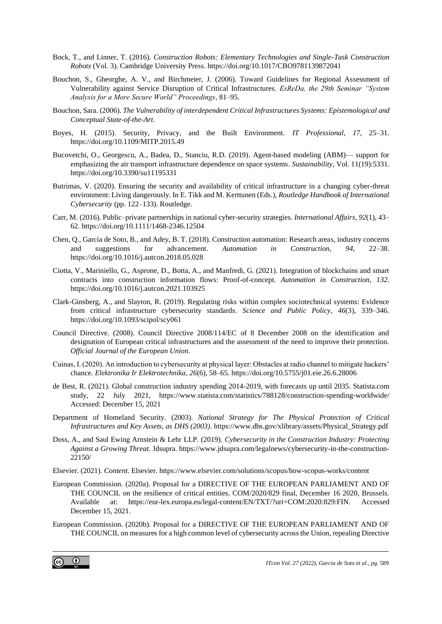- Bock, T., and Linner, T. (2016). *Construction Robots: Elementary Technologies and Single-Task Construction Robots* (Vol. 3). Cambridge University Press. https://doi.org/10.1017/CBO9781139872041
- Bouchon, S., Gheorghe, A. V., and Birchmeier, J. (2006). Toward Guidelines for Regional Assessment of Vulnerability against Service Disruption of Critical Infrastructures. *EsReDa, the 29th Seminar "System Analysis for a More Secure World" Proceedings*, 81–95.
- Bouchon, Sara. (2006). *The Vulnerability of interdependent Critical Infrastructures Systems: Epistemological and Conceptual State-of-the-Art*.
- Boyes, H. (2015). Security, Privacy, and the Built Environment. *IT Professional*, *17*, 25–31. https://doi.org/10.1109/MITP.2015.49
- Bucovetchi, O., Georgescu, A., Badea, D., Stanciu, R.D. (2019). Agent-based modeling (ABM)— support for emphasizing the air transport infrastructure dependence on space systems. *Sustainability*, Vol. 11(19):5331. https://doi.org/10.3390/su11195331
- Butrimas, V. (2020). Ensuring the security and availability of critical infrastructure in a changing cyber-threat environment: Living dangerously. In E. Tikk and M. Kerttunen (Eds.), *Routledge Handbook of International Cybersecurity* (pp. 122–133). Routledge.
- Carr, M. (2016). Public–private partnerships in national cyber-security strategies. *International Affairs*, *92*(1), 43– 62. https://doi.org/10.1111/1468-2346.12504
- Chen, Q., García de Soto, B., and Adey, B. T. (2018). Construction automation: Research areas, industry concerns and suggestions for advancement. *Automation in Construction*, *94*, 22–38. https://doi.org/10.1016/j.autcon.2018.05.028
- Ciotta, V., Mariniello, G., Asprone, D., Botta, A., and Manfredi, G. (2021). Integration of blockchains and smart contracts into construction information flows: Proof-of-concept. *Automation in Construction*, *132*. https://doi.org/10.1016/j.autcon.2021.103925
- Clark-Ginsberg, A., and Slayton, R. (2019). Regulating risks within complex sociotechnical systems: Evidence from critical infrastructure cybersecurity standards. *Science and Public Policy*, *46*(3), 339–346. https://doi.org/10.1093/scipol/scy061
- Council Directive. (2008). Council Directive 2008/114/EC of 8 December 2008 on the identification and designation of European critical infrastructures and the assessment of the need to improve their protection. *Official Journal of the European Union*.
- Cuinas, I. (2020). An introduction to cybersecurity at physical layer: Obstacles at radio channel to mitigate hackers' chance. *Elektronika Ir Elektrotechnika*, *26*(6), 58–65. https://doi.org/10.5755/j01.eie.26.6.28006
- de Best, R. (2021). Global construction industry spending 2014-2019, with forecasts up until 2035. Statista.com study, 22 July 2021, https://www.statista.com/statistics/788128/construction-spending-worldwide/ Accessed: December 15, 2021
- Department of Homeland Security. (2003). *National Strategy for The Physical Protection of Critical Infrastructures and Key Assets, as DHS (2003)*. https://www.dhs.gov/xlibrary/assets/Physical\_Strategy.pdf
- Doss, A., and Saul Ewing Arnstein & Lehr LLP. (2019). *Cybersecurity in the Construction Industry: Protecting Against a Growing Threat*. Jdsupra. https://www.jdsupra.com/legalnews/cybersecurity-in-the-construction-22150/
- Elsevier. (2021). *Content*. Elsevier. https://www.elsevier.com/solutions/scopus/how-scopus-works/content
- European Commission. (2020a). Proposal for a DIRECTIVE OF THE EUROPEAN PARLIAMENT AND OF THE COUNCIL on the resilience of critical entities. COM/2020/829 final, December 16 2020, Brussels. Available at: https://eur-lex.europa.eu/legal-content/EN/TXT/?uri=COM:2020:829:FIN. Accessed December 15, 2021.
- European Commission. (2020b). Proposal for a DIRECTIVE OF THE EUROPEAN PARLIAMENT AND OF THE COUNCIL on measures for a high common level of cybersecurity across the Union, repealing Directive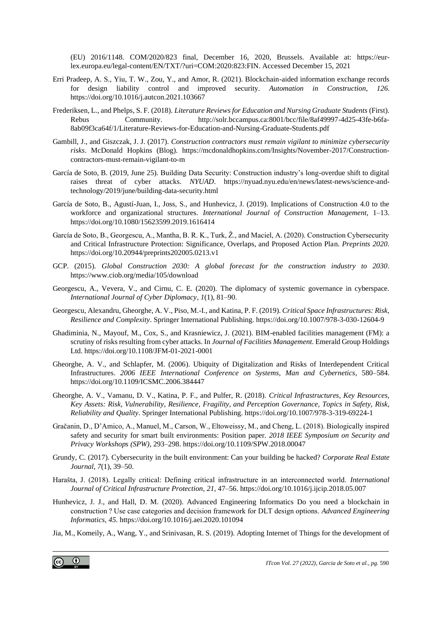(EU) 2016/1148. COM/2020/823 final, December 16, 2020, Brussels. Available at: https://eurlex.europa.eu/legal-content/EN/TXT/?uri=COM:2020:823:FIN. Accessed December 15, 2021

- Erri Pradeep, A. S., Yiu, T. W., Zou, Y., and Amor, R. (2021). Blockchain-aided information exchange records for design liability control and improved security. *Automation in Construction*, *126*. https://doi.org/10.1016/j.autcon.2021.103667
- Frederiksen, L., and Phelps, S. F. (2018). *Literature Reviews for Education and Nursing Graduate Students* (First). Rebus Community. http://solr.bccampus.ca:8001/bcc/file/8af49997-4d25-43fe-b6fa-8ab09f3ca64f/1/Literature-Reviews-for-Education-and-Nursing-Graduate-Students.pdf
- Gambill, J., and Giszczak, J. J. (2017). *Construction contractors must remain vigilant to minimize cybersecurity risks*. McDonald Hopkins (Blog). https://mcdonaldhopkins.com/Insights/November-2017/Constructioncontractors-must-remain-vigilant-to-m
- García de Soto, B. (2019, June 25). Building Data Security: Construction industry's long-overdue shift to digital raises threat of cyber attacks. *NYUAD*. https://nyuad.nyu.edu/en/news/latest-news/science-andtechnology/2019/june/building-data-security.html
- García de Soto, B., Agustí-Juan, I., Joss, S., and Hunhevicz, J. (2019). Implications of Construction 4.0 to the workforce and organizational structures. *International Journal of Construction Management*, 1–13. https://doi.org/10.1080/15623599.2019.1616414
- García de Soto, B., Georgescu, A., Mantha, B. R. K., Turk, Ž., and Maciel, A. (2020). Construction Cybersecurity and Critical Infrastructure Protection: Significance, Overlaps, and Proposed Action Plan. *Preprints 2020*. https://doi.org/10.20944/preprints202005.0213.v1
- GCP. (2015). *Global Construction 2030: A global forecast for the construction industry to 2030*. https://www.ciob.org/media/105/download
- Georgescu, A., Vevera, V., and Cirnu, C. E. (2020). The diplomacy of systemic governance in cyberspace. *International Journal of Cyber Diplomacy*, *1*(1), 81–90.
- Georgescu, Alexandru, Gheorghe, A. V., Piso, M.-I., and Katina, P. F. (2019). *Critical Space Infrastructures: Risk, Resilience and Complexity*. Springer International Publishing. https://doi.org/10.1007/978-3-030-12604-9
- Ghadiminia, N., Mayouf, M., Cox, S., and Krasniewicz, J. (2021). BIM-enabled facilities management (FM): a scrutiny of risks resulting from cyber attacks. In *Journal of Facilities Management*. Emerald Group Holdings Ltd. https://doi.org/10.1108/JFM-01-2021-0001
- Gheorghe, A. V., and Schlapfer, M. (2006). Ubiquity of Digitalization and Risks of Interdependent Critical Infrastructures. *2006 IEEE International Conference on Systems, Man and Cybernetics*, 580–584. https://doi.org/10.1109/ICSMC.2006.384447
- Gheorghe, A. V., Vamanu, D. V., Katina, P. F., and Pulfer, R. (2018). *Critical Infrastructures, Key Resources, Key Assets: Risk, Vulnerability, Resilience, Fragility, and Perception Governance, Topics in Safety, Risk, Reliability and Quality*. Springer International Publishing. https://doi.org/10.1007/978-3-319-69224-1
- Gračanin, D., D'Amico, A., Manuel, M., Carson, W., Eltoweissy, M., and Cheng, L. (2018). Biologically inspired safety and security for smart built environments: Position paper. *2018 IEEE Symposium on Security and Privacy Workshops (SPW)*, 293–298. https://doi.org/10.1109/SPW.2018.00047
- Grundy, C. (2017). Cybersecurity in the built environment: Can your building be hacked? *Corporate Real Estate Journal*, *7*(1), 39–50.
- Harašta, J. (2018). Legally critical: Defining critical infrastructure in an interconnected world. *International Journal of Critical Infrastructure Protection*, *21*, 47–56. https://doi.org/10.1016/j.ijcip.2018.05.007
- Hunhevicz, J. J., and Hall, D. M. (2020). Advanced Engineering Informatics Do you need a blockchain in construction ? Use case categories and decision framework for DLT design options. *Advanced Engineering Informatics*, *45*. https://doi.org/10.1016/j.aei.2020.101094

Jia, M., Komeily, A., Wang, Y., and Srinivasan, R. S. (2019). Adopting Internet of Things for the development of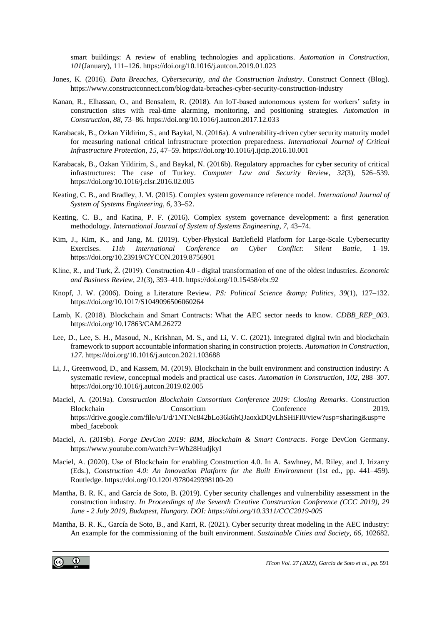smart buildings: A review of enabling technologies and applications. *Automation in Construction*, *101*(January), 111–126. https://doi.org/10.1016/j.autcon.2019.01.023

- Jones, K. (2016). *Data Breaches, Cybersecurity, and the Construction Industry*. Construct Connect (Blog). https://www.constructconnect.com/blog/data-breaches-cyber-security-construction-industry
- Kanan, R., Elhassan, O., and Bensalem, R. (2018). An IoT-based autonomous system for workers' safety in construction sites with real-time alarming, monitoring, and positioning strategies. *Automation in Construction*, *88*, 73–86. https://doi.org/10.1016/j.autcon.2017.12.033
- Karabacak, B., Ozkan Yildirim, S., and Baykal, N. (2016a). A vulnerability-driven cyber security maturity model for measuring national critical infrastructure protection preparedness. *International Journal of Critical Infrastructure Protection*, *15*, 47–59. https://doi.org/10.1016/j.ijcip.2016.10.001
- Karabacak, B., Ozkan Yildirim, S., and Baykal, N. (2016b). Regulatory approaches for cyber security of critical infrastructures: The case of Turkey. *Computer Law and Security Review*, *32*(3), 526–539. https://doi.org/10.1016/j.clsr.2016.02.005
- Keating, C. B., and Bradley, J. M. (2015). Complex system governance reference model. *International Journal of System of Systems Engineering*, *6*, 33–52.
- Keating, C. B., and Katina, P. F. (2016). Complex system governance development: a first generation methodology. *International Journal of System of Systems Engineering*, *7*, 43–74.
- Kim, J., Kim, K., and Jang, M. (2019). Cyber-Physical Battlefield Platform for Large-Scale Cybersecurity Exercises. *11th International Conference on Cyber Conflict: Silent Battle*, 1–19. https://doi.org/10.23919/CYCON.2019.8756901
- Klinc, R., and Turk, Ž. (2019). Construction 4.0 digital transformation of one of the oldest industries. *Economic and Business Review*, *21*(3), 393–410. https://doi.org/10.15458/ebr.92
- Knopf, J. W. (2006). Doing a Literature Review. *PS: Political Science & amp; Politics*, 39(1), 127-132. https://doi.org/10.1017/S1049096506060264
- Lamb, K. (2018). Blockchain and Smart Contracts: What the AEC sector needs to know. *CDBB\_REP\_003*. https://doi.org/10.17863/CAM.26272
- Lee, D., Lee, S. H., Masoud, N., Krishnan, M. S., and Li, V. C. (2021). Integrated digital twin and blockchain framework to support accountable information sharing in construction projects. *Automation in Construction*, *127*. https://doi.org/10.1016/j.autcon.2021.103688
- Li, J., Greenwood, D., and Kassem, M. (2019). Blockchain in the built environment and construction industry: A systematic review, conceptual models and practical use cases. *Automation in Construction*, *102*, 288–307. https://doi.org/10.1016/j.autcon.2019.02.005
- Maciel, A. (2019a). *Construction Blockchain Consortium Conference 2019: Closing Remarks*. Construction Blockchain Consortium Conference 2019. https://drive.google.com/file/u/1/d/1NTNc842bLo36k6hQJaoxkDQvLhSHiFI0/view?usp=sharing&usp=e mbed\_facebook
- Maciel, A. (2019b). *Forge DevCon 2019: BIM, Blockchain & Smart Contracts*. Forge DevCon Germany. https://www.youtube.com/watch?v=Wb28HudjkyI
- Maciel, A. (2020). Use of Blockchain for enabling Construction 4.0. In A. Sawhney, M. Riley, and J. Irizarry (Eds.), *Construction 4.0: An Innovation Platform for the Built Environment* (1st ed., pp. 441–459). Routledge. https://doi.org/10.1201/9780429398100-20
- Mantha, B. R. K., and García de Soto, B. (2019). Cyber security challenges and vulnerability assessment in the construction industry. *In Proceedings of the Seventh Creative Construction Conference (CCC 2019), 29 June - 2 July 2019, Budapest, Hungary. DOI: https://doi.org/10.3311/CCC2019-005*
- Mantha, B. R. K., García de Soto, B., and Karri, R. (2021). Cyber security threat modeling in the AEC industry: An example for the commissioning of the built environment. *Sustainable Cities and Society*, *66*, 102682.

 $_{\odot}$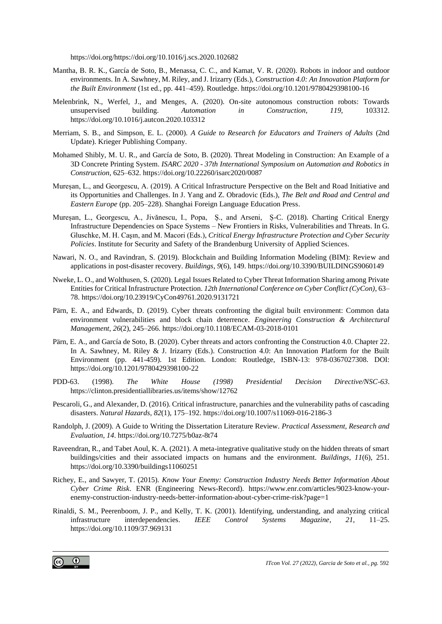https://doi.org/https://doi.org/10.1016/j.scs.2020.102682

- Mantha, B. R. K., García de Soto, B., Menassa, C. C., and Kamat, V. R. (2020). Robots in indoor and outdoor environments. In A. Sawhney, M. Riley, and J. Irizarry (Eds.), *Construction 4.0: An Innovation Platform for the Built Environment* (1st ed., pp. 441–459). Routledge. https://doi.org/10.1201/9780429398100-16
- Melenbrink, N., Werfel, J., and Menges, A. (2020). On-site autonomous construction robots: Towards unsupervised building. *Automation in Construction*, *119*, 103312. https://doi.org/10.1016/j.autcon.2020.103312
- Merriam, S. B., and Simpson, E. L. (2000). *A Guide to Research for Educators and Trainers of Adults* (2nd Update). Krieger Publishing Company.
- Mohamed Shibly, M. U. R., and García de Soto, B. (2020). Threat Modeling in Construction: An Example of a 3D Concrete Printing System. *ISARC 2020 - 37th International Symposium on Automation and Robotics in Construction*, 625–632. https://doi.org/10.22260/isarc2020/0087
- Mureșan, L., and Georgescu, A. (2019). A Critical Infrastructure Perspective on the Belt and Road Initiative and its Opportunities and Challenges. In J. Yang and Z. Obradovic (Eds.), *The Belt and Road and Central and Eastern Europe* (pp. 205–228). Shanghai Foreign Language Education Press.
- Mureșan, L., Georgescu, A., Jivănescu, I., Popa, Ș., and Arseni, Ș-C. (2018). Charting Critical Energy Infrastructure Dependencies on Space Systems – New Frontiers in Risks, Vulnerabilities and Threats. In G. Gluschke, M. H. Caşın, and M. Macori (Eds.), *Critical Energy Infrastructure Protection and Cyber Security Policies*. Institute for Security and Safety of the Brandenburg University of Applied Sciences.
- Nawari, N. O., and Ravindran, S. (2019). Blockchain and Building Information Modeling (BIM): Review and applications in post-disaster recovery. *Buildings*, *9*(6), 149. https://doi.org/10.3390/BUILDINGS9060149
- Nweke, L. O., and Wolthusen, S. (2020). Legal Issues Related to Cyber Threat Information Sharing among Private Entities for Critical Infrastructure Protection. *12th International Conference on Cyber Conflict (CyCon)*, 63– 78. https://doi.org/10.23919/CyCon49761.2020.9131721
- Pärn, E. A., and Edwards, D. (2019). Cyber threats confronting the digital built environment: Common data environment vulnerabilities and block chain deterrence. *Engineering Construction & Architectural Management*, *26*(2), 245–266. https://doi.org/10.1108/ECAM-03-2018-0101
- Pärn, E. A., and García de Soto, B. (2020). Cyber threats and actors confronting the Construction 4.0. Chapter 22. In A. Sawhney, M. Riley & J. Irizarry (Eds.). Construction 4.0: An Innovation Platform for the Built Environment (pp. 441-459). 1st Edition. London: Routledge, ISBN-13: 978-0367027308. DOI: https://doi.org/10.1201/9780429398100-22
- PDD-63. (1998). *The White House (1998) Presidential Decision Directive/NSC-63*. https://clinton.presidentiallibraries.us/items/show/12762
- Pescaroli, G., and Alexander, D. (2016). Critical infrastructure, panarchies and the vulnerability paths of cascading disasters. *Natural Hazards*, *82*(1), 175–192. https://doi.org/10.1007/s11069-016-2186-3
- Randolph, J. (2009). A Guide to Writing the Dissertation Literature Review. *Practical Assessment, Research and Evaluation*, *14*. https://doi.org/10.7275/b0az-8t74
- Raveendran, R., and Tabet Aoul, K. A. (2021). A meta-integrative qualitative study on the hidden threats of smart buildings/cities and their associated impacts on humans and the environment. *Buildings*, *11*(6), 251. https://doi.org/10.3390/buildings11060251
- Richey, E., and Sawyer, T. (2015). *Know Your Enemy: Construction Industry Needs Better Information About Cyber Crime Risk*. ENR (Engineering News-Record). https://www.enr.com/articles/9023-know-yourenemy-construction-industry-needs-better-information-about-cyber-crime-risk?page=1
- Rinaldi, S. M., Peerenboom, J. P., and Kelly, T. K. (2001). Identifying, understanding, and analyzing critical infrastructure interdependencies. *IEEE Control Systems Magazine*, *21*, 11–25. https://doi.org/10.1109/37.969131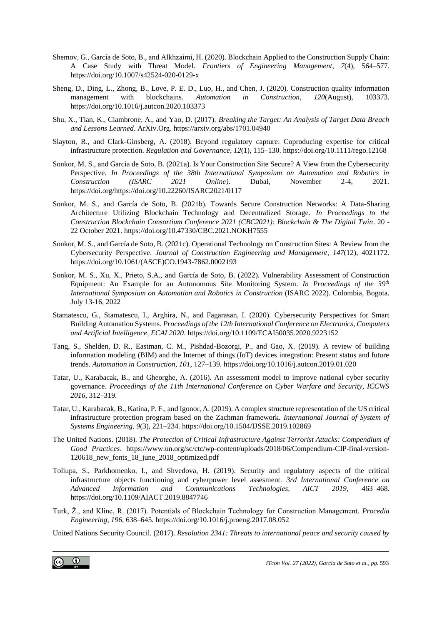- Shemov, G., García de Soto, B., and Alkhzaimi, H. (2020). Blockchain Applied to the Construction Supply Chain: A Case Study with Threat Model. *Frontiers of Engineering Management*, *7*(4), 564–577. https://doi.org/10.1007/s42524-020-0129-x
- Sheng, D., Ding, L., Zhong, B., Love, P. E. D., Luo, H., and Chen, J. (2020). Construction quality information management with blockchains. *Automation in Construction*, *120*(August), 103373. https://doi.org/10.1016/j.autcon.2020.103373
- Shu, X., Tian, K., Ciambrone, A., and Yao, D. (2017). *Breaking the Target: An Analysis of Target Data Breach and Lessons Learned*. ArXiv.Org. https://arxiv.org/abs/1701.04940
- Slayton, R., and Clark-Ginsberg, A. (2018). Beyond regulatory capture: Coproducing expertise for critical infrastructure protection. *Regulation and Governance*, *12*(1), 115–130. https://doi.org/10.1111/rego.12168
- Sonkor, M. S., and García de Soto, B. (2021a). Is Your Construction Site Secure? A View from the Cybersecurity Perspective. *In Proceedings of the 38th International Symposium on Automation and Robotics in Construction (ISARC 2021 Online)*. Dubai, November 2-4, 2021. https://doi.org/https://doi.org/10.22260/ISARC2021/0117
- Sonkor, M. S., and García de Soto, B. (2021b). Towards Secure Construction Networks: A Data-Sharing Architecture Utilizing Blockchain Technology and Decentralized Storage. *In Proceedings to the Construction Blockchain Consortium Conference 2021 (CBC2021): Blockchain & The Digital Twin*. 20 - 22 October 2021. https://doi.org/10.47330/CBC.2021.NOKH7555
- Sonkor, M. S., and García de Soto, B. (2021c). Operational Technology on Construction Sites: A Review from the Cybersecurity Perspective. *Journal of Construction Engineering and Management*, *147*(12), 4021172. https://doi.org/10.1061/(ASCE)CO.1943-7862.0002193
- Sonkor, M. S., Xu, X., Prieto, S.A., and García de Soto, B. (2022). Vulnerability Assessment of Construction Equipment: An Example for an Autonomous Site Monitoring System. *In Proceedings of the 39<sup>th</sup> International Symposium on Automation and Robotics in Construction* (ISARC 2022). Colombia, Bogota. July 13-16, 2022
- Stamatescu, G., Stamatescu, I., Arghira, N., and Fagarasan, I. (2020). Cybersecurity Perspectives for Smart Building Automation Systems. *Proceedings of the 12th International Conference on Electronics, Computers and Artificial Intelligence, ECAI 2020*. https://doi.org/10.1109/ECAI50035.2020.9223152
- Tang, S., Shelden, D. R., Eastman, C. M., Pishdad-Bozorgi, P., and Gao, X. (2019). A review of building information modeling (BIM) and the Internet of things (IoT) devices integration: Present status and future trends. *Automation in Construction*, *101*, 127–139. https://doi.org/10.1016/j.autcon.2019.01.020
- Tatar, U., Karabacak, B., and Gheorghe, A. (2016). An assessment model to improve national cyber security governance. *Proceedings of the 11th International Conference on Cyber Warfare and Security, ICCWS 2016*, 312–319.
- Tatar, U., Karabacak, B., Katina, P. F., and Igonor, A. (2019). A complex structure representation of the US critical infrastructure protection program based on the Zachman framework. *International Journal of System of Systems Engineering*, *9*(3), 221–234. https://doi.org/10.1504/IJSSE.2019.102869
- The United Nations. (2018). *The Protection of Critical Infrastructure Against Terrorist Attacks: Compendium of Good Practices*. https://www.un.org/sc/ctc/wp-content/uploads/2018/06/Compendium-CIP-final-version-120618\_new\_fonts\_18\_june\_2018\_optimized.pdf
- Toliupa, S., Parkhomenko, I., and Shvedova, H. (2019). Security and regulatory aspects of the critical infrastructure objects functioning and cyberpower level assesment. *3rd International Conference on Advanced Information and Communications Technologies, AICT 2019*, 463–468. https://doi.org/10.1109/AIACT.2019.8847746
- Turk, Ž., and Klinc, R. (2017). Potentials of Blockchain Technology for Construction Management. *Procedia Engineering*, *196*, 638–645. https://doi.org/10.1016/j.proeng.2017.08.052

United Nations Security Council. (2017). *Resolution 2341: Threats to international peace and security caused by*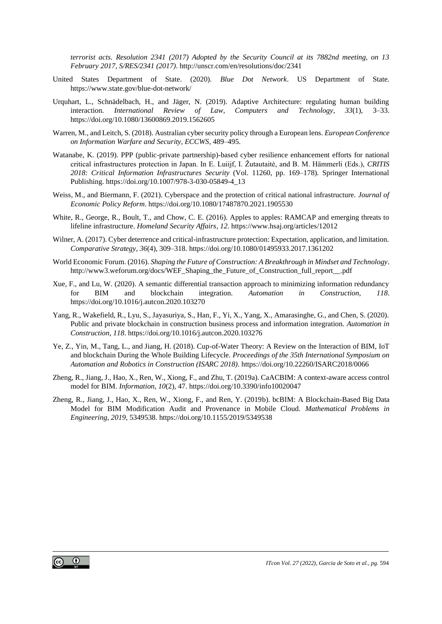*terrorist acts. Resolution 2341 (2017) Adopted by the Security Council at its 7882nd meeting, on 13 February 2017, S/RES/2341 (2017)*. http://unscr.com/en/resolutions/doc/2341

- United States Department of State. (2020). *Blue Dot Network*. US Department of State. https://www.state.gov/blue-dot-network/
- Urquhart, L., Schnädelbach, H., and Jäger, N. (2019). Adaptive Architecture: regulating human building interaction. *International Review of Law, Computers and Technology*, *33*(1), 3–33. https://doi.org/10.1080/13600869.2019.1562605
- Warren, M., and Leitch, S. (2018). Australian cyber security policy through a European lens. *European Conference on Information Warfare and Security, ECCWS*, 489–495.
- Watanabe, K. (2019). PPP (public-private partnership)-based cyber resilience enhancement efforts for national critical infrastructures protection in Japan. In E. Luiijf, I. Žutautaitė, and B. M. Hämmerli (Eds.), *CRITIS 2018: Critical Information Infrastructures Security* (Vol. 11260, pp. 169–178). Springer International Publishing. https://doi.org/10.1007/978-3-030-05849-4\_13
- Weiss, M., and Biermann, F. (2021). Cyberspace and the protection of critical national infrastructure. *Journal of Economic Policy Reform*. https://doi.org/10.1080/17487870.2021.1905530
- White, R., George, R., Boult, T., and Chow, C. E. (2016). Apples to apples: RAMCAP and emerging threats to lifeline infrastructure. *Homeland Security Affairs*, *12*. https://www.hsaj.org/articles/12012
- Wilner, A. (2017). Cyber deterrence and critical-infrastructure protection: Expectation, application, and limitation. *Comparative Strategy*, *36*(4), 309–318. https://doi.org/10.1080/01495933.2017.1361202
- World Economic Forum. (2016). *Shaping the Future of Construction: A Breakthrough in Mindset and Technology*. http://www3.weforum.org/docs/WEF\_Shaping\_the\_Future\_of\_Construction\_full\_report\_\_.pdf
- Xue, F., and Lu, W. (2020). A semantic differential transaction approach to minimizing information redundancy for BIM and blockchain integration. *Automation in Construction*, *118*. https://doi.org/10.1016/j.autcon.2020.103270
- Yang, R., Wakefield, R., Lyu, S., Jayasuriya, S., Han, F., Yi, X., Yang, X., Amarasinghe, G., and Chen, S. (2020). Public and private blockchain in construction business process and information integration. *Automation in Construction*, *118*. https://doi.org/10.1016/j.autcon.2020.103276
- Ye, Z., Yin, M., Tang, L., and Jiang, H. (2018). Cup-of-Water Theory: A Review on the Interaction of BIM, IoT and blockchain During the Whole Building Lifecycle. *Proceedings of the 35th International Symposium on Automation and Robotics in Construction (ISARC 2018)*. https://doi.org/10.22260/ISARC2018/0066
- Zheng, R., Jiang, J., Hao, X., Ren, W., Xiong, F., and Zhu, T. (2019a). CaACBIM: A context-aware access control model for BIM. *Information*, *10*(2), 47. https://doi.org/10.3390/info10020047
- Zheng, R., Jiang, J., Hao, X., Ren, W., Xiong, F., and Ren, Y. (2019b). bcBIM: A Blockchain-Based Big Data Model for BIM Modification Audit and Provenance in Mobile Cloud. *Mathematical Problems in Engineering*, *2019*, 5349538. https://doi.org/10.1155/2019/5349538

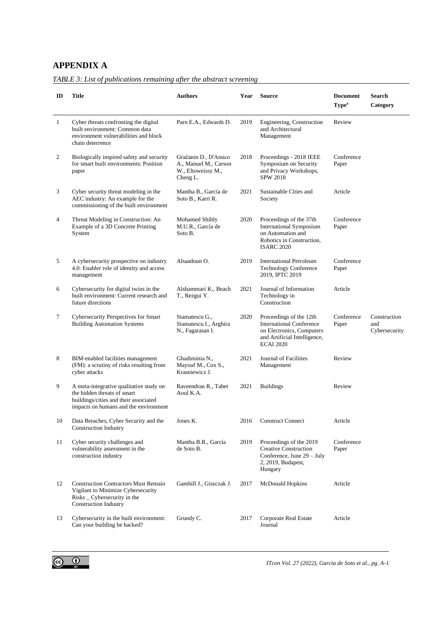## **APPENDIX A**

<span id="page-24-0"></span>

| TABLE 3: List of publications remaining after the abstract screening |  |  |  |
|----------------------------------------------------------------------|--|--|--|
|                                                                      |  |  |  |

| ID           | <b>Title</b>                                                                                                                                             | <b>Authors</b>                                                                  | Year | <b>Source</b>                                                                                                                               | <b>Document</b><br>Type <sup>a</sup> | <b>Search</b><br>Category            |
|--------------|----------------------------------------------------------------------------------------------------------------------------------------------------------|---------------------------------------------------------------------------------|------|---------------------------------------------------------------------------------------------------------------------------------------------|--------------------------------------|--------------------------------------|
| $\mathbf{1}$ | Cyber threats confronting the digital<br>built environment: Common data<br>environment vulnerabilities and block<br>chain deterrence                     | Parn E.A., Edwards D.                                                           | 2019 | Engineering, Construction<br>and Architectural<br>Management                                                                                | Review                               |                                      |
| 2            | Biologically inspired safety and security<br>for smart built environments: Position<br>paper                                                             | Gračanin D., D'Amico<br>A., Manuel M., Carson<br>W., Eltoweissy M.,<br>Cheng L. | 2018 | Proceedings - 2018 IEEE<br>Symposium on Security<br>and Privacy Workshops,<br><b>SPW 2018</b>                                               | Conference<br>Paper                  |                                      |
| 3            | Cyber security threat modeling in the<br>AEC industry: An example for the<br>commissioning of the built environment                                      | Mantha B., García de<br>Soto B., Karri R.                                       | 2021 | Sustainable Cities and<br>Society                                                                                                           | Article                              |                                      |
| 4            | Threat Modeling in Construction: An<br>Example of a 3D Concrete Printing<br>System                                                                       | <b>Mohamed Shibly</b><br>M.U.R., García de<br>Soto B.                           | 2020 | Proceedings of the 37th<br><b>International Symposium</b><br>on Automation and<br>Robotics in Construction.<br><b>ISARC 2020</b>            | Conference<br>Paper                  |                                      |
| 5            | A cybersecurity prospective on industry<br>4.0: Enabler role of identity and access<br>management                                                        | Alsaadoun O.                                                                    | 2019 | <b>International Petroleum</b><br><b>Technology Conference</b><br>2019, IPTC 2019                                                           | Conference<br>Paper                  |                                      |
| 6            | Cybersecurity for digital twins in the<br>built environment: Current research and<br>future directions                                                   | Alshammari K., Beach<br>T., Rezgui Y.                                           | 2021 | Journal of Information<br>Technology in<br>Construction                                                                                     | Article                              |                                      |
| 7            | Cybersecurity Perspectives for Smart<br><b>Building Automation Systems</b>                                                                               | Stamatescu G.,<br>Stamatescu I., Arghira<br>N., Fagarasan I.                    | 2020 | Proceedings of the 12th<br><b>International Conference</b><br>on Electronics, Computers<br>and Artificial Intelligence,<br><b>ECAI 2020</b> | Conference<br>Paper                  | Construction<br>and<br>Cybersecurity |
| 8            | BIM-enabled facilities management<br>(FM): a scrutiny of risks resulting from<br>cyber attacks                                                           | Ghadiminia N.,<br>Mayouf M., Cox S.,<br>Krasniewicz J.                          | 2021 | Journal of Facilities<br>Management                                                                                                         | Review                               |                                      |
| 9            | A meta-integrative qualitative study on<br>the hidden threats of smart<br>buildings/cities and their associated<br>impacts on humans and the environment | Raveendran R., Tabet<br>Aoul K.A.                                               | 2021 | <b>Buildings</b>                                                                                                                            | Review                               |                                      |
| 10           | Data Breaches, Cyber Security and the<br><b>Construction Industry</b>                                                                                    | Jones K.                                                                        | 2016 | <b>Construct Connect</b>                                                                                                                    | Article                              |                                      |
| 11           | Cyber security challenges and<br>vulnerability assessment in the<br>construction industry                                                                | Mantha B.R., García<br>de Soto B.                                               | 2019 | Proceedings of the 2019<br><b>Creative Construction</b><br>Conference, June 29 - July<br>2, 2019, Budapest,<br>Hungary                      | Conference<br>Paper                  |                                      |
| 12           | <b>Construction Contractors Must Remain</b><br>Vigilant to Minimize Cybersecurity<br>Risks _ Cybersecurity in the<br><b>Construction Industry</b>        | Gambill J., Giszczak J.                                                         | 2017 | McDonald Hopkins                                                                                                                            | Article                              |                                      |
| 13           | Cybersecurity in the built environment:<br>Can your building be hacked?                                                                                  | Grundy C.                                                                       | 2017 | Corporate Real Estate<br>Journal                                                                                                            | Article                              |                                      |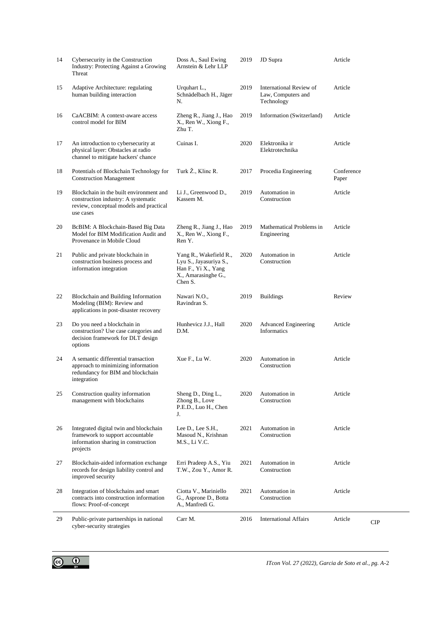| 14 | Cybersecurity in the Construction<br>Industry: Protecting Against a Growing<br>Threat                                                  | Doss A., Saul Ewing<br>Arnstein & Lehr LLP                                                                | 2019 | <b>JD</b> Supra                                             | Article             |            |
|----|----------------------------------------------------------------------------------------------------------------------------------------|-----------------------------------------------------------------------------------------------------------|------|-------------------------------------------------------------|---------------------|------------|
| 15 | Adaptive Architecture: regulating<br>human building interaction                                                                        | Urquhart L.,<br>Schnädelbach H., Jäger<br>N.                                                              | 2019 | International Review of<br>Law, Computers and<br>Technology | Article             |            |
| 16 | CaACBIM: A context-aware access<br>control model for BIM                                                                               | Zheng R., Jiang J., Hao<br>X., Ren W., Xiong F.,<br>Zhu T.                                                | 2019 | Information (Switzerland)                                   | Article             |            |
| 17 | An introduction to cybersecurity at<br>physical layer: Obstacles at radio<br>channel to mitigate hackers' chance                       | Cuinas I.                                                                                                 | 2020 | Elektronika ir<br>Elektrotechnika                           | Article             |            |
| 18 | Potentials of Blockchain Technology for<br><b>Construction Management</b>                                                              | Turk Ž., Klinc R.                                                                                         | 2017 | Procedia Engineering                                        | Conference<br>Paper |            |
| 19 | Blockchain in the built environment and<br>construction industry: A systematic<br>review, conceptual models and practical<br>use cases | Li J., Greenwood D.,<br>Kassem M.                                                                         | 2019 | Automation in<br>Construction                               | Article             |            |
| 20 | BcBIM: A Blockchain-Based Big Data<br>Model for BIM Modification Audit and<br>Provenance in Mobile Cloud                               | Zheng R., Jiang J., Hao<br>X., Ren W., Xiong F.,<br>Ren Y.                                                | 2019 | Mathematical Problems in<br>Engineering                     | Article             |            |
| 21 | Public and private blockchain in<br>construction business process and<br>information integration                                       | Yang R., Wakefield R.,<br>Lyu S., Jayasuriya S.,<br>Han F., Yi X., Yang<br>X., Amarasinghe G.,<br>Chen S. | 2020 | Automation in<br>Construction                               | Article             |            |
| 22 | Blockchain and Building Information<br>Modeling (BIM): Review and<br>applications in post-disaster recovery                            | Nawari N.O.,<br>Ravindran S.                                                                              | 2019 | <b>Buildings</b>                                            | Review              |            |
| 23 | Do you need a blockchain in<br>construction? Use case categories and<br>decision framework for DLT design<br>options                   | Hunhevicz J.J., Hall<br>D.M.                                                                              | 2020 | <b>Advanced Engineering</b><br>Informatics                  | Article             |            |
| 24 | A semantic differential transaction<br>approach to minimizing information<br>redundancy for BIM and blockchain<br>integration          | Xue F., Lu W.                                                                                             | 2020 | Automation in<br>Construction                               | Article             |            |
| 25 | Construction quality information<br>management with blockchains                                                                        | Sheng D., Ding L.,<br>Zhong B., Love<br>P.E.D., Luo H., Chen<br>J.                                        | 2020 | Automation in<br>Construction                               | Article             |            |
| 26 | Integrated digital twin and blockchain<br>framework to support accountable<br>information sharing in construction<br>projects          | Lee D., Lee S.H.,<br>Masoud N., Krishnan<br>M.S., Li V.C.                                                 | 2021 | Automation in<br>Construction                               | Article             |            |
| 27 | Blockchain-aided information exchange<br>records for design liability control and<br>improved security                                 | Erri Pradeep A.S., Yiu<br>T.W., Zou Y., Amor R.                                                           | 2021 | Automation in<br>Construction                               | Article             |            |
| 28 | Integration of blockchains and smart<br>contracts into construction information<br>flows: Proof-of-concept                             | Ciotta V., Mariniello<br>G., Asprone D., Botta<br>A., Manfredi G.                                         | 2021 | Automation in<br>Construction                               | Article             |            |
| 29 | Public-private partnerships in national<br>cyber-security strategies                                                                   | Carr M.                                                                                                   | 2016 | <b>International Affairs</b>                                | Article             | <b>CIP</b> |

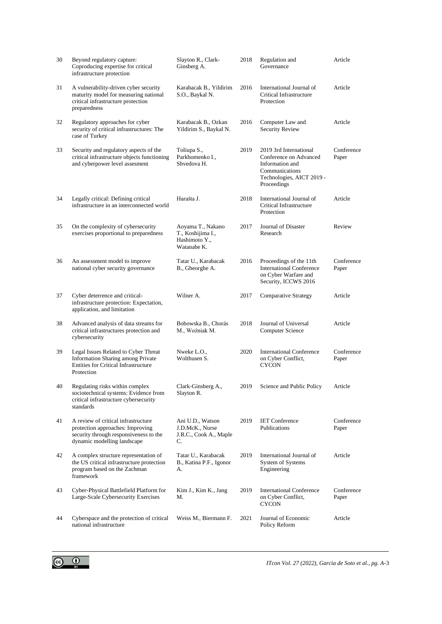| 30 | Beyond regulatory capture:<br>Coproducing expertise for critical<br>infrastructure protection                                                    | Slayton R., Clark-<br>Ginsberg A.                                      | 2018 | Regulation and<br>Governance                                                                                                      | Article             |
|----|--------------------------------------------------------------------------------------------------------------------------------------------------|------------------------------------------------------------------------|------|-----------------------------------------------------------------------------------------------------------------------------------|---------------------|
| 31 | A vulnerability-driven cyber security<br>maturity model for measuring national<br>critical infrastructure protection<br>preparedness             | Karabacak B., Yildirim<br>S.O., Baykal N.                              | 2016 | International Journal of<br>Critical Infrastructure<br>Protection                                                                 | Article             |
| 32 | Regulatory approaches for cyber<br>security of critical infrastructures: The<br>case of Turkey                                                   | Karabacak B., Ozkan<br>Yildirim S., Baykal N.                          | 2016 | Computer Law and<br>Security Review                                                                                               | Article             |
| 33 | Security and regulatory aspects of the<br>critical infrastructure objects functioning<br>and cyberpower level assesment                          | Toliupa S.,<br>Parkhomenko I.,<br>Shvedova H.                          | 2019 | 2019 3rd International<br>Conference on Advanced<br>Information and<br>Communications<br>Technologies, AICT 2019 -<br>Proceedings | Conference<br>Paper |
| 34 | Legally critical: Defining critical<br>infrastructure in an interconnected world                                                                 | Harašta J.                                                             | 2018 | International Journal of<br>Critical Infrastructure<br>Protection                                                                 | Article             |
| 35 | On the complexity of cybersecurity<br>exercises proportional to preparedness                                                                     | Aoyama T., Nakano<br>T., Koshijima I.,<br>Hashimoto Y.,<br>Watanabe K. | 2017 | Journal of Disaster<br>Research                                                                                                   | Review              |
| 36 | An assessment model to improve<br>national cyber security governance                                                                             | Tatar U., Karabacak<br>B., Gheorghe A.                                 | 2016 | Proceedings of the 11th<br><b>International Conference</b><br>on Cyber Warfare and<br>Security, ICCWS 2016                        | Conference<br>Paper |
| 37 | Cyber deterrence and critical-<br>infrastructure protection: Expectation,<br>application, and limitation                                         | Wilner A.                                                              | 2017 | Comparative Strategy                                                                                                              | Article             |
| 38 | Advanced analysis of data streams for<br>critical infrastructures protection and<br>cybersecurity                                                | Bobowska B., Chorás<br>M., Woźniak M.                                  | 2018 | Journal of Universal<br><b>Computer Science</b>                                                                                   | Article             |
| 39 | Legal Issues Related to Cyber Threat<br><b>Information Sharing among Private</b><br><b>Entities for Critical Infrastructure</b><br>Protection    | Nweke L.O.,<br>Wolthusen S.                                            | 2020 | <b>International Conference</b><br>on Cyber Conflict,<br><b>CYCON</b>                                                             | Conference<br>Paper |
| 40 | Regulating risks within complex<br>sociotechnical systems: Evidence from<br>critical infrastructure cybersecurity<br>standards                   | Clark-Ginsberg A.,<br>Slayton R.                                       | 2019 | Science and Public Policy                                                                                                         | Article             |
| 41 | A review of critical infrastructure<br>protection approaches: Improving<br>security through responsiveness to the<br>dynamic modelling landscape | Ani U.D., Watson<br>J.D.McK., Nurse<br>J.R.C., Cook A., Maple<br>C.    | 2019 | <b>IET Conference</b><br>Publications                                                                                             | Conference<br>Paper |
| 42 | A complex structure representation of<br>the US critical infrastructure protection<br>program based on the Zachman<br>framework                  | Tatar U., Karabacak<br>B., Katina P.F., Igonor<br>А.                   | 2019 | International Journal of<br><b>System of Systems</b><br>Engineering                                                               | Article             |
| 43 | Cyber-Physical Battlefield Platform for<br>Large-Scale Cybersecurity Exercises                                                                   | Kim J., Kim K., Jang<br>М.                                             | 2019 | <b>International Conference</b><br>on Cyber Conflict,<br><b>CYCON</b>                                                             | Conference<br>Paper |
| 44 | Cyberspace and the protection of critical<br>national infrastructure                                                                             | Weiss M., Biermann F.                                                  | 2021 | Journal of Economic<br>Policy Reform                                                                                              | Article             |